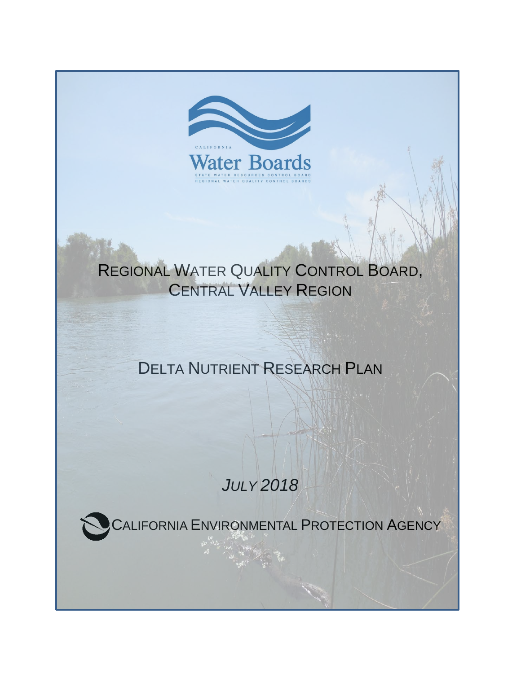

# REGIONAL WATER QUALITY CONTROL BOARD, CENTRAL VALLEY REGION

# DELTA NUTRIENT RESEARCH PLAN

# *JULY 2018*

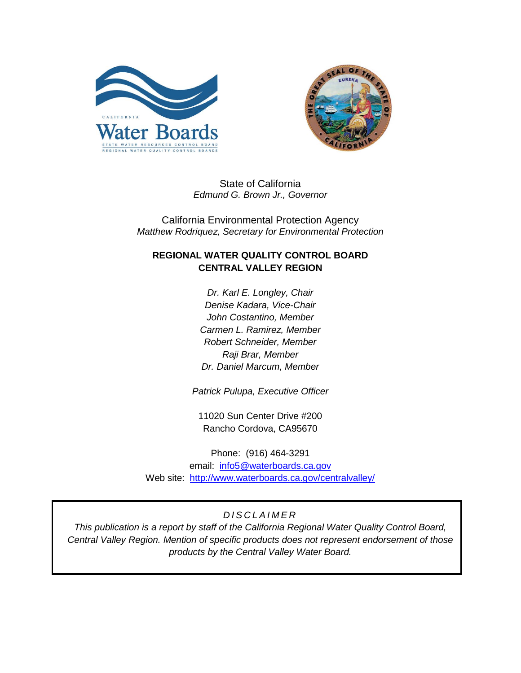



State of California *Edmund G. Brown Jr., Governor* 

California Environmental Protection Agency *Matthew Rodriquez, Secretary for Environmental Protection* 

### **REGIONAL WATER QUALITY CONTROL BOARD CENTRAL VALLEY REGION**

*Dr. Karl E. Longley, Chair Denise Kadara, Vice-Chair John Costantino, Member Carmen L. Ramirez, Member Robert Schneider, Member Raji Brar, Member Dr. Daniel Marcum, Member* 

*Patrick Pulupa, Executive Officer* 

11020 Sun Center Drive #200 Rancho Cordova, CA95670

email: *info5@waterboards.ca.gov* Web site: http://www.waterboards.ca.gov/centralvalley/ Phone: (916) 464-3291

## *DISCLAIMER*

 *This publication is a report by staff of the California Regional Water Quality Control Board, Central Valley Region. Mention of specific products does not represent endorsement of those products by the Central Valley Water Board.*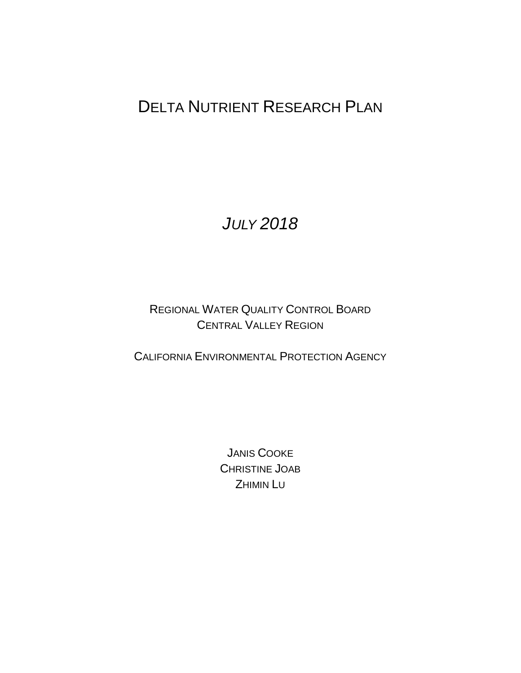# DELTA NUTRIENT RESEARCH PLAN

# *JULY 2018*

# REGIONAL WATER QUALITY CONTROL BOARD CENTRAL VALLEY REGION

CALIFORNIA ENVIRONMENTAL PROTECTION AGENCY

JANIS COOKE CHRISTINE JOAB ZHIMIN LU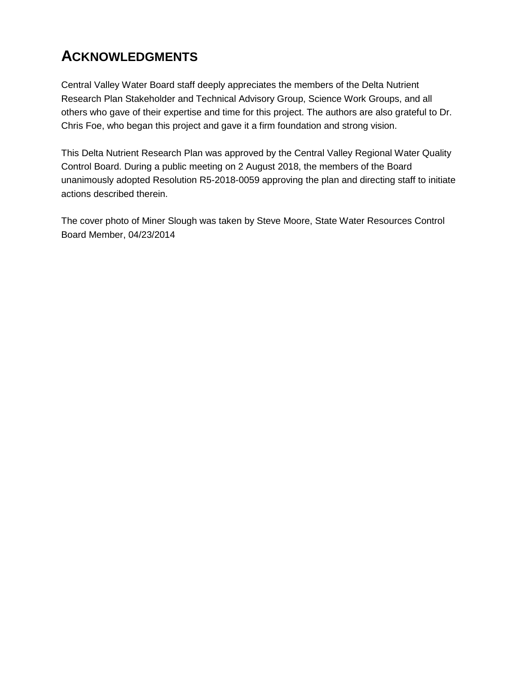# **ACKNOWLEDGMENTS**

 Chris Foe, who began this project and gave it a firm foundation and strong vision. Central Valley Water Board staff deeply appreciates the members of the Delta Nutrient Research Plan Stakeholder and Technical Advisory Group, Science Work Groups, and all others who gave of their expertise and time for this project. The authors are also grateful to Dr.

 This Delta Nutrient Research Plan was approved by the Central Valley Regional Water Quality unanimously adopted Resolution R5-2018-0059 approving the plan and directing staff to initiate Control Board. During a public meeting on 2 August 2018, the members of the Board actions described therein.

The cover photo of Miner Slough was taken by Steve Moore, State Water Resources Control Board Member, 04/23/2014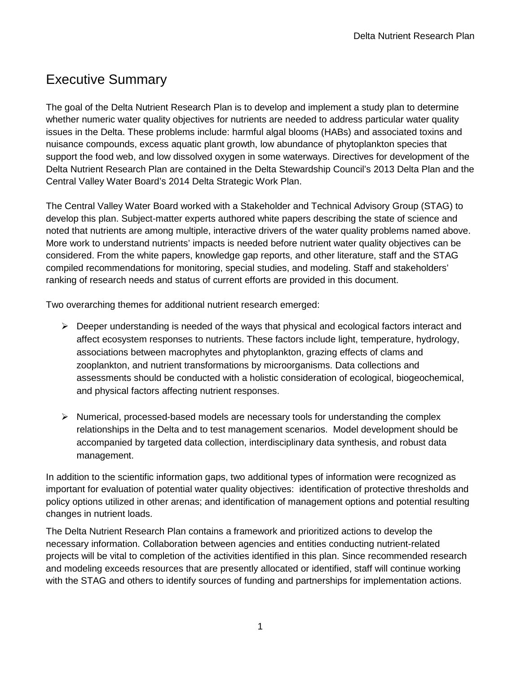# <span id="page-4-0"></span>Executive Summary

 whether numeric water quality objectives for nutrients are needed to address particular water quality Central Valley Water Board's 2014 Delta Strategic Work Plan. The goal of the Delta Nutrient Research Plan is to develop and implement a study plan to determine issues in the Delta. These problems include: harmful algal blooms (HABs) and associated toxins and nuisance compounds, excess aquatic plant growth, low abundance of phytoplankton species that support the food web, and low dissolved oxygen in some waterways. Directives for development of the Delta Nutrient Research Plan are contained in the Delta Stewardship Council's 2013 Delta Plan and the

 noted that nutrients are among multiple, interactive drivers of the water quality problems named above. ranking of research needs and status of current efforts are provided in this document.<br>Two overarching themes for additional nutrient research emerged: The Central Valley Water Board worked with a Stakeholder and Technical Advisory Group (STAG) to develop this plan. Subject-matter experts authored white papers describing the state of science and More work to understand nutrients' impacts is needed before nutrient water quality objectives can be considered. From the white papers, knowledge gap reports, and other literature, staff and the STAG compiled recommendations for monitoring, special studies, and modeling. Staff and stakeholders'

- affect ecosystem responses to nutrients. These factors include light, temperature, hydrology, associations between macrophytes and phytoplankton, grazing effects of clams and  $\triangleright$  Deeper understanding is needed of the ways that physical and ecological factors interact and zooplankton, and nutrient transformations by microorganisms. Data collections and assessments should be conducted with a holistic consideration of ecological, biogeochemical, and physical factors affecting nutrient responses.
- $\triangleright$  Numerical, processed-based models are necessary tools for understanding the complex relationships in the Delta and to test management scenarios. Model development should be accompanied by targeted data collection, interdisciplinary data synthesis, and robust data management.

 important for evaluation of potential water quality objectives: identification of protective thresholds and In addition to the scientific information gaps, two additional types of information were recognized as policy options utilized in other arenas; and identification of management options and potential resulting changes in nutrient loads.

The Delta Nutrient Research Plan contains a framework and prioritized actions to develop the necessary information. Collaboration between agencies and entities conducting nutrient-related projects will be vital to completion of the activities identified in this plan. Since recommended research and modeling exceeds resources that are presently allocated or identified, staff will continue working with the STAG and others to identify sources of funding and partnerships for implementation actions.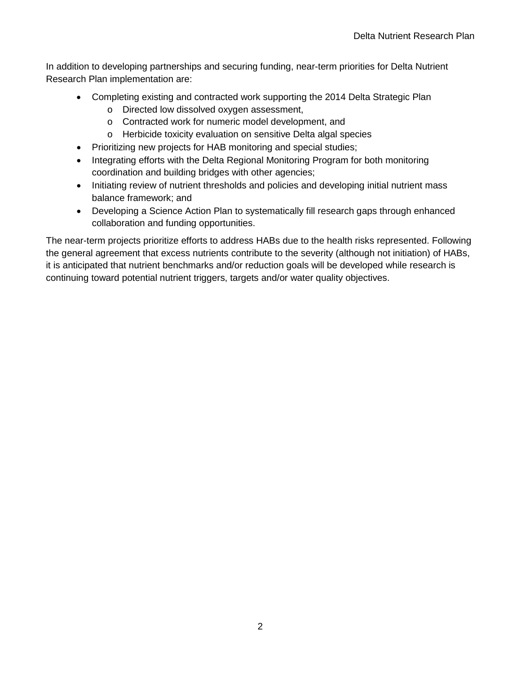Research Plan implementation are: In addition to developing partnerships and securing funding, near-term priorities for Delta Nutrient

- Completing existing and contracted work supporting the 2014 Delta Strategic Plan
	- o Directed low dissolved oxygen assessment,
	- o Contracted work for numeric model development, and
	- o Herbicide toxicity evaluation on sensitive Delta algal species
- Prioritizing new projects for HAB monitoring and special studies;
- Integrating efforts with the Delta Regional Monitoring Program for both monitoring coordination and building bridges with other agencies;
- Initiating review of nutrient thresholds and policies and developing initial nutrient mass balance framework; and
- • Developing a Science Action Plan to systematically fill research gaps through enhanced collaboration and funding opportunities.

 the general agreement that excess nutrients contribute to the severity (although not initiation) of HABs, The near-term projects prioritize efforts to address HABs due to the health risks represented. Following it is anticipated that nutrient benchmarks and/or reduction goals will be developed while research is continuing toward potential nutrient triggers, targets and/or water quality objectives.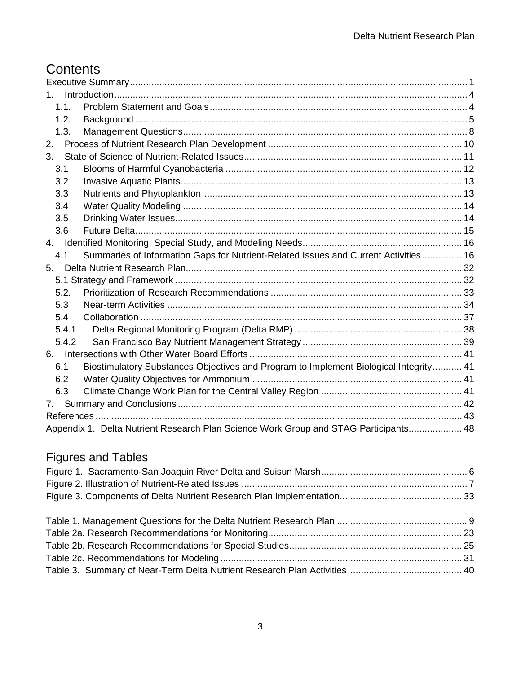# **Contents**

| 1.    |                                                                                       |  |
|-------|---------------------------------------------------------------------------------------|--|
| 1.1.  |                                                                                       |  |
| 1.2.  |                                                                                       |  |
| 1.3.  |                                                                                       |  |
| 2.    |                                                                                       |  |
| 3.    |                                                                                       |  |
| 3.1   |                                                                                       |  |
| 3.2   |                                                                                       |  |
| 3.3   |                                                                                       |  |
| 3.4   |                                                                                       |  |
| 3.5   |                                                                                       |  |
| 3.6   |                                                                                       |  |
| 4.    |                                                                                       |  |
| 4.1   | Summaries of Information Gaps for Nutrient-Related Issues and Current Activities 16   |  |
| 5.    |                                                                                       |  |
|       |                                                                                       |  |
| 5.2.  |                                                                                       |  |
| 5.3   |                                                                                       |  |
| 5.4   |                                                                                       |  |
| 5.4.1 |                                                                                       |  |
| 5.4.2 |                                                                                       |  |
|       |                                                                                       |  |
| 6.1   | Biostimulatory Substances Objectives and Program to Implement Biological Integrity 41 |  |
| 6.2   |                                                                                       |  |
| 6.3   |                                                                                       |  |
| 7.    |                                                                                       |  |
|       |                                                                                       |  |
|       | Appendix 1. Delta Nutrient Research Plan Science Work Group and STAG Participants 48  |  |

# Figures and Tables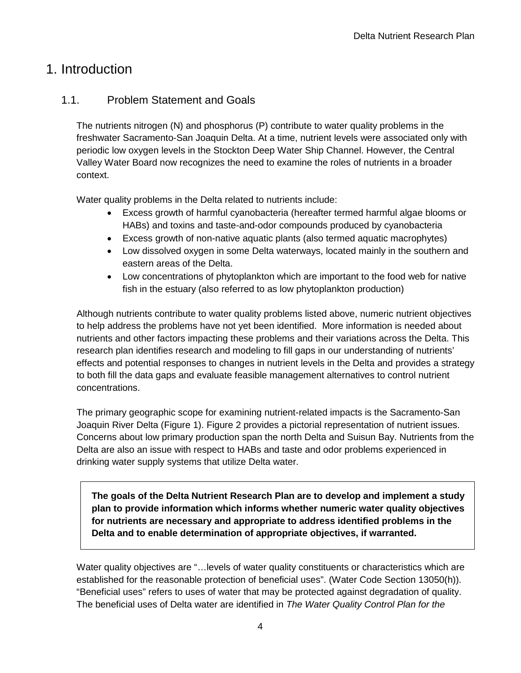# <span id="page-7-0"></span>1. Introduction

## <span id="page-7-1"></span>1.1. Problem Statement and Goals

 The nutrients nitrogen (N) and phosphorus (P) contribute to water quality problems in the context. freshwater Sacramento-San Joaquin Delta. At a time, nutrient levels were associated only with periodic low oxygen levels in the Stockton Deep Water Ship Channel. However, the Central Valley Water Board now recognizes the need to examine the roles of nutrients in a broader

Water quality problems in the Delta related to nutrients include:

- HABs) and toxins and taste-and-odor compounds produced by cyanobacteria • Excess growth of harmful cyanobacteria (hereafter termed harmful algae blooms or
- Excess growth of non-native aquatic plants (also termed aquatic macrophytes)
- eastern areas of the Delta. • Low dissolved oxygen in some Delta waterways, located mainly in the southern and
- fish in the estuary (also referred to as low phytoplankton production) • Low concentrations of phytoplankton which are important to the food web for native

 research plan identifies research and modeling to fill gaps in our understanding of nutrients' Although nutrients contribute to water quality problems listed above, numeric nutrient objectives to help address the problems have not yet been identified. More information is needed about nutrients and other factors impacting these problems and their variations across the Delta. This effects and potential responses to changes in nutrient levels in the Delta and provides a strategy to both fill the data gaps and evaluate feasible management alternatives to control nutrient concentrations.

 The primary geographic scope for examining nutrient-related impacts is the Sacramento-San Joaquin River Delta (Figure 1). Figure 2 provides a pictorial representation of nutrient issues. Joaquin River Delta (Figure 1). Figure 2 provides a pictorial representation of nutrient issues.<br>Concerns about low primary production span the north Delta and Suisun Bay. Nutrients from the drinking water supply systems that utilize Delta water. Delta are also an issue with respect to HABs and taste and odor problems experienced in

 **The goals of the Delta Nutrient Research Plan are to develop and implement a study plan to provide information which informs whether numeric water quality objectives for nutrients are necessary and appropriate to address identified problems in the Delta and to enable determination of appropriate objectives, if warranted.** 

established for the reasonable protection of beneficial uses". (Water Code Section 13050(h)). established for the reasonable protection of beneficial uses". (Water Code Section 13050(h)).<br>"Beneficial uses" refers to uses of water that may be protected against degradation of quality.  The beneficial uses of Delta water are identified in *The Water Quality Control Plan for the*  Water quality objectives are "…levels of water quality constituents or characteristics which are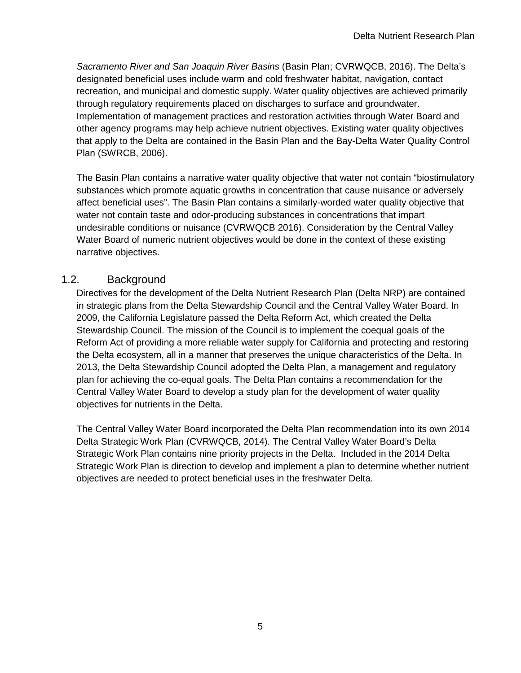recreation, and municipal and domestic supply. Water quality objectives are achieved primarily other agency programs may help achieve nutrient objectives. Existing water quality objectives that apply to the Delta are contained in the Basin Plan and the Bay-Delta Water Quality Control *Sacramento River and San Joaquin River Basins* (Basin Plan; CVRWQCB, 2016). The Delta's designated beneficial uses include warm and cold freshwater habitat, navigation, contact through regulatory requirements placed on discharges to surface and groundwater. Implementation of management practices and restoration activities through Water Board and Plan (SWRCB, 2006).

 water not contain taste and odor-producing substances in concentrations that impart The Basin Plan contains a narrative water quality objective that water not contain "biostimulatory substances which promote aquatic growths in concentration that cause nuisance or adversely affect beneficial uses". The Basin Plan contains a similarly-worded water quality objective that undesirable conditions or nuisance (CVRWQCB 2016). Consideration by the Central Valley Water Board of numeric nutrient objectives would be done in the context of these existing narrative objectives.

### <span id="page-8-0"></span>1.2. Background

 Directives for the development of the Delta Nutrient Research Plan (Delta NRP) are contained the Delta ecosystem, all in a manner that preserves the unique characteristics of the Delta. In plan for achieving the co-equal goals. The Delta Plan contains a recommendation for the Central Valley Water Board to develop a study plan for the development of water quality in strategic plans from the Delta Stewardship Council and the Central Valley Water Board. In 2009, the California Legislature passed the Delta Reform Act, which created the Delta Stewardship Council. The mission of the Council is to implement the coequal goals of the Reform Act of providing a more reliable water supply for California and protecting and restoring 2013, the Delta Stewardship Council adopted the Delta Plan, a management and regulatory objectives for nutrients in the Delta.

 The Central Valley Water Board incorporated the Delta Plan recommendation into its own 2014 Strategic Work Plan contains nine priority projects in the Delta. Included in the 2014 Delta Delta Strategic Work Plan (CVRWQCB, 2014). The Central Valley Water Board's Delta Strategic Work Plan is direction to develop and implement a plan to determine whether nutrient objectives are needed to protect beneficial uses in the freshwater Delta.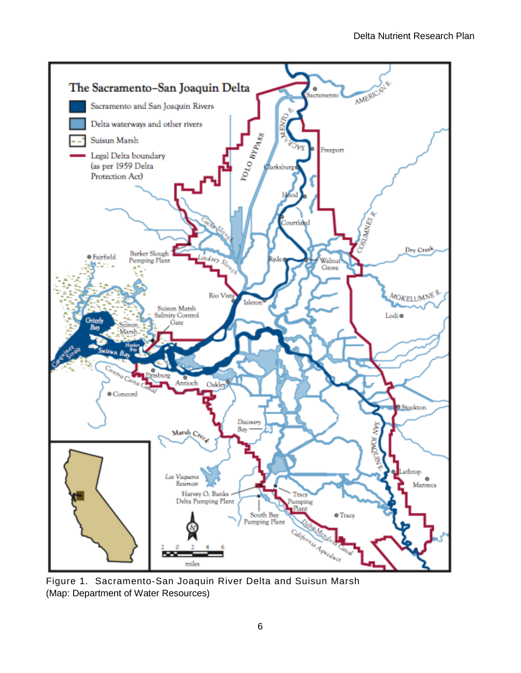

<span id="page-9-0"></span> (Map: Department of Water Resources) 6 Figure 1. Sacramento-San Joaquin River Delta and Suisun Marsh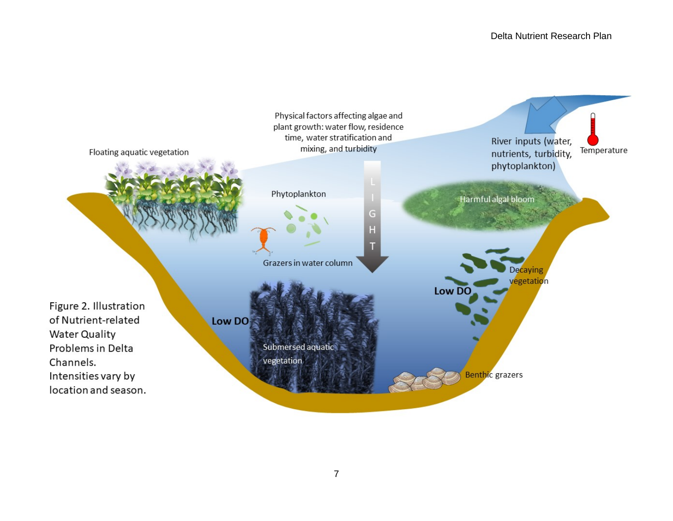<span id="page-10-0"></span>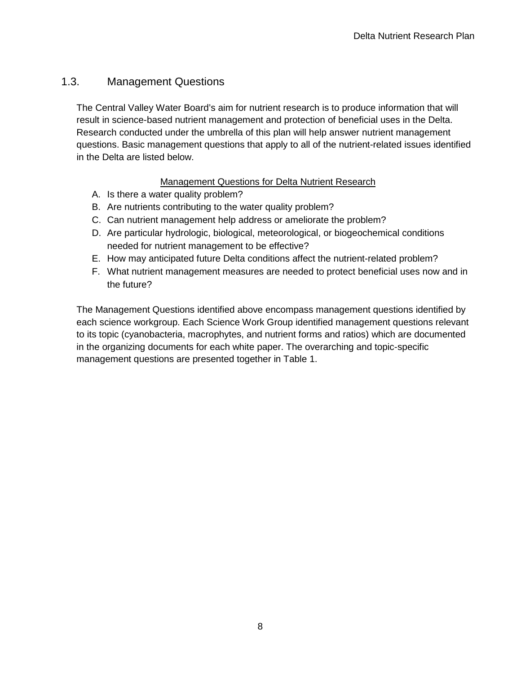### <span id="page-11-0"></span>1.3. Management Questions

 The Central Valley Water Board's aim for nutrient research is to produce information that will questions. Basic management questions that apply to all of the nutrient-related issues identified result in science-based nutrient management and protection of beneficial uses in the Delta. Research conducted under the umbrella of this plan will help answer nutrient management in the Delta are listed below.

### Management Questions for Delta Nutrient Research

- A. Is there a water quality problem?
- B. Are nutrients contributing to the water quality problem?
- C. Can nutrient management help address or ameliorate the problem?
- D. Are particular hydrologic, biological, meteorological, or biogeochemical conditions needed for nutrient management to be effective?
- E. How may anticipated future Delta conditions affect the nutrient-related problem?
- F. What nutrient management measures are needed to protect beneficial uses now and in the future?

 to its topic (cyanobacteria, macrophytes, and nutrient forms and ratios) which are documented management questions are presented together in Table 1. The Management Questions identified above encompass management questions identified by each science workgroup. Each Science Work Group identified management questions relevant in the organizing documents for each white paper. The overarching and topic-specific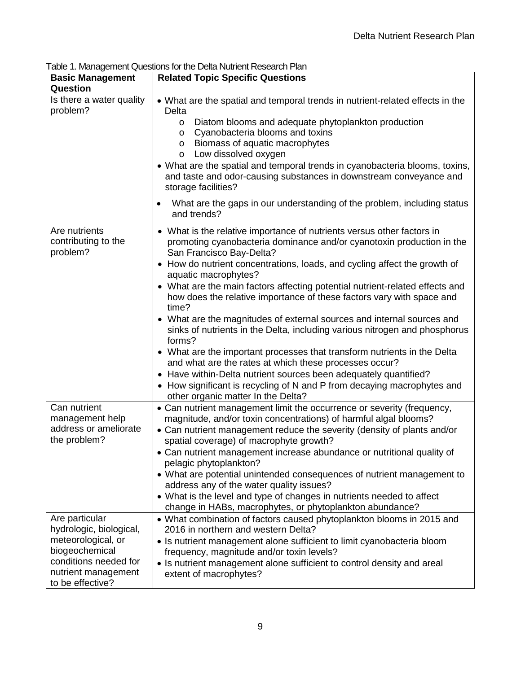<span id="page-12-0"></span>

| <b>Basic Management</b><br>Question                                                                                                                   | <b>Related Topic Specific Questions</b>                                                                                                                                                                                                                                                                                                                                                                                                                                                                                                                                                                                                                                                                                                                                                                                                                                                                                                         |
|-------------------------------------------------------------------------------------------------------------------------------------------------------|-------------------------------------------------------------------------------------------------------------------------------------------------------------------------------------------------------------------------------------------------------------------------------------------------------------------------------------------------------------------------------------------------------------------------------------------------------------------------------------------------------------------------------------------------------------------------------------------------------------------------------------------------------------------------------------------------------------------------------------------------------------------------------------------------------------------------------------------------------------------------------------------------------------------------------------------------|
| Is there a water quality<br>problem?                                                                                                                  | • What are the spatial and temporal trends in nutrient-related effects in the<br>Delta<br>Diatom blooms and adequate phytoplankton production<br>$\circ$<br>Cyanobacteria blooms and toxins<br>$\circ$<br>Biomass of aquatic macrophytes<br>$\circ$<br>Low dissolved oxygen<br>O<br>• What are the spatial and temporal trends in cyanobacteria blooms, toxins,<br>and taste and odor-causing substances in downstream conveyance and<br>storage facilities?<br>What are the gaps in our understanding of the problem, including status<br>٠<br>and trends?                                                                                                                                                                                                                                                                                                                                                                                     |
| Are nutrients<br>contributing to the<br>problem?                                                                                                      | • What is the relative importance of nutrients versus other factors in<br>promoting cyanobacteria dominance and/or cyanotoxin production in the<br>San Francisco Bay-Delta?<br>• How do nutrient concentrations, loads, and cycling affect the growth of<br>aquatic macrophytes?<br>• What are the main factors affecting potential nutrient-related effects and<br>how does the relative importance of these factors vary with space and<br>time?<br>• What are the magnitudes of external sources and internal sources and<br>sinks of nutrients in the Delta, including various nitrogen and phosphorus<br>forms?<br>• What are the important processes that transform nutrients in the Delta<br>and what are the rates at which these processes occur?<br>• Have within-Delta nutrient sources been adequately quantified?<br>• How significant is recycling of N and P from decaying macrophytes and<br>other organic matter In the Delta? |
| Can nutrient<br>management help<br>address or ameliorate<br>the problem?                                                                              | • Can nutrient management limit the occurrence or severity (frequency,<br>magnitude, and/or toxin concentrations) of harmful algal blooms?<br>• Can nutrient management reduce the severity (density of plants and/or<br>spatial coverage) of macrophyte growth?<br>• Can nutrient management increase abundance or nutritional quality of<br>pelagic phytoplankton?<br>• What are potential unintended consequences of nutrient management to<br>address any of the water quality issues?<br>• What is the level and type of changes in nutrients needed to affect<br>change in HABs, macrophytes, or phytoplankton abundance?                                                                                                                                                                                                                                                                                                                 |
| Are particular<br>hydrologic, biological,<br>meteorological, or<br>biogeochemical<br>conditions needed for<br>nutrient management<br>to be effective? | • What combination of factors caused phytoplankton blooms in 2015 and<br>2016 in northern and western Delta?<br>• Is nutrient management alone sufficient to limit cyanobacteria bloom<br>frequency, magnitude and/or toxin levels?<br>• Is nutrient management alone sufficient to control density and areal<br>extent of macrophytes?                                                                                                                                                                                                                                                                                                                                                                                                                                                                                                                                                                                                         |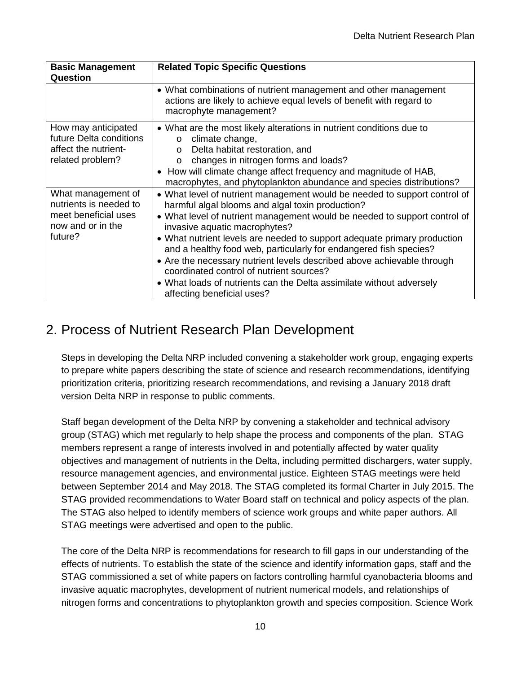| <b>Basic Management</b><br>Question                                                                  | <b>Related Topic Specific Questions</b>                                                                                                                                                                                                                                                                                                                                                                                                                                                                                                                                                                                  |  |  |  |  |  |  |  |  |
|------------------------------------------------------------------------------------------------------|--------------------------------------------------------------------------------------------------------------------------------------------------------------------------------------------------------------------------------------------------------------------------------------------------------------------------------------------------------------------------------------------------------------------------------------------------------------------------------------------------------------------------------------------------------------------------------------------------------------------------|--|--|--|--|--|--|--|--|
|                                                                                                      | • What combinations of nutrient management and other management<br>actions are likely to achieve equal levels of benefit with regard to<br>macrophyte management?                                                                                                                                                                                                                                                                                                                                                                                                                                                        |  |  |  |  |  |  |  |  |
| How may anticipated<br>future Delta conditions<br>affect the nutrient-<br>related problem?           | • What are the most likely alterations in nutrient conditions due to<br>climate change,<br>$\circ$<br>Delta habitat restoration, and<br>$\circ$<br>changes in nitrogen forms and loads?<br>$\circ$<br>How will climate change affect frequency and magnitude of HAB,<br>$\bullet$<br>macrophytes, and phytoplankton abundance and species distributions?                                                                                                                                                                                                                                                                 |  |  |  |  |  |  |  |  |
| What management of<br>nutrients is needed to<br>meet beneficial uses<br>now and or in the<br>future? | • What level of nutrient management would be needed to support control of<br>harmful algal blooms and algal toxin production?<br>• What level of nutrient management would be needed to support control of<br>invasive aquatic macrophytes?<br>• What nutrient levels are needed to support adequate primary production<br>and a healthy food web, particularly for endangered fish species?<br>• Are the necessary nutrient levels described above achievable through<br>coordinated control of nutrient sources?<br>• What loads of nutrients can the Delta assimilate without adversely<br>affecting beneficial uses? |  |  |  |  |  |  |  |  |

# <span id="page-13-0"></span>2. Process of Nutrient Research Plan Development

Steps in developing the Delta NRP included convening a stakeholder work group, engaging experts to prepare white papers describing the state of science and research recommendations, identifying prioritization criteria, prioritizing research recommendations, and revising a January 2018 draft version Delta NRP in response to public comments.

 group (STAG) which met regularly to help shape the process and components of the plan. STAG members represent a range of interests involved in and potentially affected by water quality between September 2014 and May 2018. The STAG completed its formal Charter in July 2015. The STAG meetings were advertised and open to the public. Staff began development of the Delta NRP by convening a stakeholder and technical advisory objectives and management of nutrients in the Delta, including permitted dischargers, water supply, resource management agencies, and environmental justice. Eighteen STAG meetings were held STAG provided recommendations to Water Board staff on technical and policy aspects of the plan. The STAG also helped to identify members of science work groups and white paper authors. All

 The core of the Delta NRP is recommendations for research to fill gaps in our understanding of the invasive aquatic macrophytes, development of nutrient numerical models, and relationships of effects of nutrients. To establish the state of the science and identify information gaps, staff and the STAG commissioned a set of white papers on factors controlling harmful cyanobacteria blooms and nitrogen forms and concentrations to phytoplankton growth and species composition. Science Work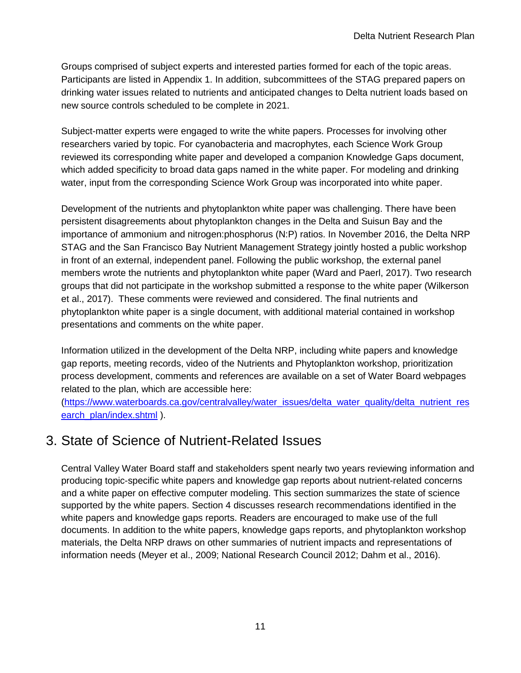Groups comprised of subject experts and interested parties formed for each of the topic areas. Participants are listed in Appendix 1. In addition, subcommittees of the STAG prepared papers on drinking water issues related to nutrients and anticipated changes to Delta nutrient loads based on new source controls scheduled to be complete in 2021.

 researchers varied by topic. For cyanobacteria and macrophytes, each Science Work Group which added specificity to broad data gaps named in the white paper. For modeling and drinking water, input from the corresponding Science Work Group was incorporated into white paper. Subject-matter experts were engaged to write the white papers. Processes for involving other reviewed its corresponding white paper and developed a companion Knowledge Gaps document,

 importance of ammonium and nitrogen:phosphorus (N:P) ratios. In November 2016, the Delta NRP STAG and the San Francisco Bay Nutrient Management Strategy jointly hosted a public workshop et al., 2017). These comments were reviewed and considered. The final nutrients and Development of the nutrients and phytoplankton white paper was challenging. There have been persistent disagreements about phytoplankton changes in the Delta and Suisun Bay and the in front of an external, independent panel. Following the public workshop, the external panel members wrote the nutrients and phytoplankton white paper (Ward and Paerl, 2017). Two research groups that did not participate in the workshop submitted a response to the white paper (Wilkerson phytoplankton white paper is a single document, with additional material contained in workshop presentations and comments on the white paper.

Information utilized in the development of the Delta NRP, including white papers and knowledge gap reports, meeting records, video of the Nutrients and Phytoplankton workshop, prioritization process development, comments and references are available on a set of Water Board webpages related to the plan, which are accessible here:

[earch\\_plan/index.shtml](https://www.waterboards.ca.gov/centralvalley/water_issues/delta_water_quality/delta_nutrient_research_plan/index.shtml) ). [\(https://www.waterboards.ca.gov/centralvalley/water\\_issues/delta\\_water\\_quality/delta\\_nutrient\\_res](https://www.waterboards.ca.gov/centralvalley/water_issues/delta_water_quality/delta_nutrient_research_plan/index.shtml) 

# <span id="page-14-0"></span>3. State of Science of Nutrient-Related Issues

 supported by the white papers. Section 4 discusses research recommendations identified in the white papers and knowledge gaps reports. Readers are encouraged to make use of the full materials, the Delta NRP draws on other summaries of nutrient impacts and representations of information needs (Meyer et al., 2009; National Research Council 2012; Dahm et al., 2016).<br>11 Central Valley Water Board staff and stakeholders spent nearly two years reviewing information and producing topic-specific white papers and knowledge gap reports about nutrient-related concerns and a white paper on effective computer modeling. This section summarizes the state of science documents. In addition to the white papers, knowledge gaps reports, and phytoplankton workshop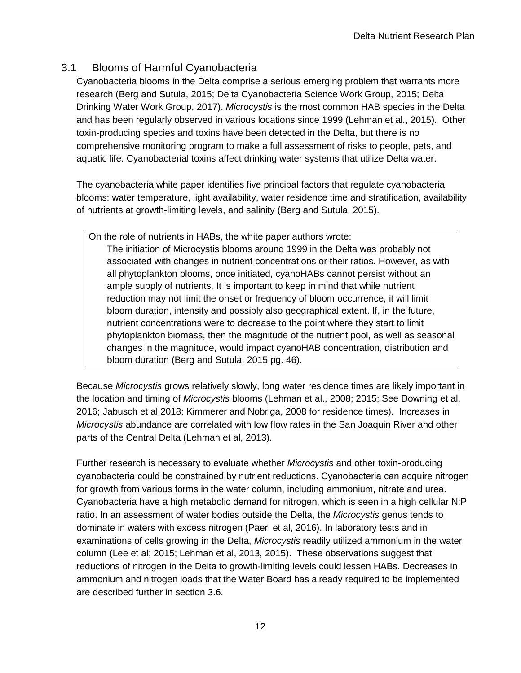## <span id="page-15-0"></span>3.1 Blooms of Harmful Cyanobacteria

 Cyanobacteria blooms in the Delta comprise a serious emerging problem that warrants more research (Berg and Sutula, 2015; Delta Cyanobacteria Science Work Group, 2015; Delta Drinking Water Work Group, 2017). *Microcystis* is the most common HAB species in the Delta toxin-producing species and toxins have been detected in the Delta, but there is no aquatic life. Cyanobacterial toxins affect drinking water systems that utilize Delta water. and has been regularly observed in various locations since 1999 (Lehman et al., 2015). Other comprehensive monitoring program to make a full assessment of risks to people, pets, and

 The cyanobacteria white paper identifies five principal factors that regulate cyanobacteria blooms: water temperature, light availability, water residence time and stratification, availability of nutrients at growth-limiting levels, and salinity (Berg and Sutula, 2015).

 bloom duration, intensity and possibly also geographical extent. If, in the future, nutrient concentrations were to decrease to the point where they start to limit On the role of nutrients in HABs, the white paper authors wrote: The initiation of Microcystis blooms around 1999 in the Delta was probably not associated with changes in nutrient concentrations or their ratios. However, as with all phytoplankton blooms, once initiated, cyanoHABs cannot persist without an ample supply of nutrients. It is important to keep in mind that while nutrient reduction may not limit the onset or frequency of bloom occurrence, it will limit phytoplankton biomass, then the magnitude of the nutrient pool, as well as seasonal changes in the magnitude, would impact cyanoHAB concentration, distribution and bloom duration (Berg and Sutula, 2015 pg. 46).

 2016; Jabusch et al 2018; Kimmerer and Nobriga, 2008 for residence times). Increases in Because *Microcystis* grows relatively slowly, long water residence times are likely important in the location and timing of *Microcystis* blooms (Lehman et al., 2008; 2015; See Downing et al, *Microcystis* abundance are correlated with low flow rates in the San Joaquin River and other parts of the Central Delta (Lehman et al, 2013).

 ratio. In an assessment of water bodies outside the Delta, the *Microcystis* genus tends to examinations of cells growing in the Delta, *Microcystis* readily utilized ammonium in the water reductions of nitrogen in the Delta to growth-limiting levels could lessen HABs. Decreases in ammonium and nitrogen loads that the Water Board has already required to be implemented are described further in section 3.6.<br>12 Further research is necessary to evaluate whether *Microcystis* and other toxin-producing cyanobacteria could be constrained by nutrient reductions. Cyanobacteria can acquire nitrogen for growth from various forms in the water column, including ammonium, nitrate and urea. Cyanobacteria have a high metabolic demand for nitrogen, which is seen in a high cellular N:P dominate in waters with excess nitrogen (Paerl et al, 2016). In laboratory tests and in column (Lee et al; 2015; Lehman et al, 2013, 2015). These observations suggest that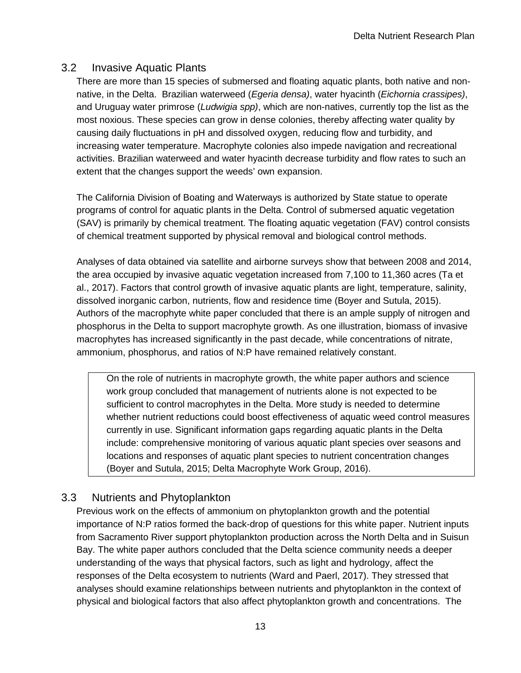### <span id="page-16-0"></span>3.2 Invasive Aquatic Plants

 increasing water temperature. Macrophyte colonies also impede navigation and recreational activities. Brazilian waterweed and water hyacinth decrease turbidity and flow rates to such an There are more than 15 species of submersed and floating aquatic plants, both native and nonnative, in the Delta. Brazilian waterweed (*Egeria densa)*, water hyacinth (*Eichornia crassipes)*, and Uruguay water primrose (*Ludwigia spp)*, which are non-natives, currently top the list as the most noxious. These species can grow in dense colonies, thereby affecting water quality by causing daily fluctuations in pH and dissolved oxygen, reducing flow and turbidity, and extent that the changes support the weeds' own expansion.

 programs of control for aquatic plants in the Delta. Control of submersed aquatic vegetation (SAV) is primarily by chemical treatment. The floating aquatic vegetation (FAV) control consists The California Division of Boating and Waterways is authorized by State statue to operate of chemical treatment supported by physical removal and biological control methods.

 the area occupied by invasive aquatic vegetation increased from 7,100 to 11,360 acres (Ta et al., 2017). Factors that control growth of invasive aquatic plants are light, temperature, salinity, dissolved inorganic carbon, nutrients, flow and residence time (Boyer and Sutula, 2015). phosphorus in the Delta to support macrophyte growth. As one illustration, biomass of invasive macrophytes has increased significantly in the past decade, while concentrations of nitrate, Analyses of data obtained via satellite and airborne surveys show that between 2008 and 2014, Authors of the macrophyte white paper concluded that there is an ample supply of nitrogen and ammonium, phosphorus, and ratios of N:P have remained relatively constant.

 On the role of nutrients in macrophyte growth, the white paper authors and science work group concluded that management of nutrients alone is not expected to be sufficient to control macrophytes in the Delta. More study is needed to determine whether nutrient reductions could boost effectiveness of aquatic weed control measures currently in use. Significant information gaps regarding aquatic plants in the Delta include: comprehensive monitoring of various aquatic plant species over seasons and locations and responses of aquatic plant species to nutrient concentration changes (Boyer and Sutula, 2015; Delta Macrophyte Work Group, 2016).

# <span id="page-16-1"></span>3.3 Nutrients and Phytoplankton

 understanding of the ways that physical factors, such as light and hydrology, affect the Previous work on the effects of ammonium on phytoplankton growth and the potential importance of N:P ratios formed the back-drop of questions for this white paper. Nutrient inputs from Sacramento River support phytoplankton production across the North Delta and in Suisun Bay. The white paper authors concluded that the Delta science community needs a deeper responses of the Delta ecosystem to nutrients (Ward and Paerl, 2017). They stressed that analyses should examine relationships between nutrients and phytoplankton in the context of physical and biological factors that also affect phytoplankton growth and concentrations. The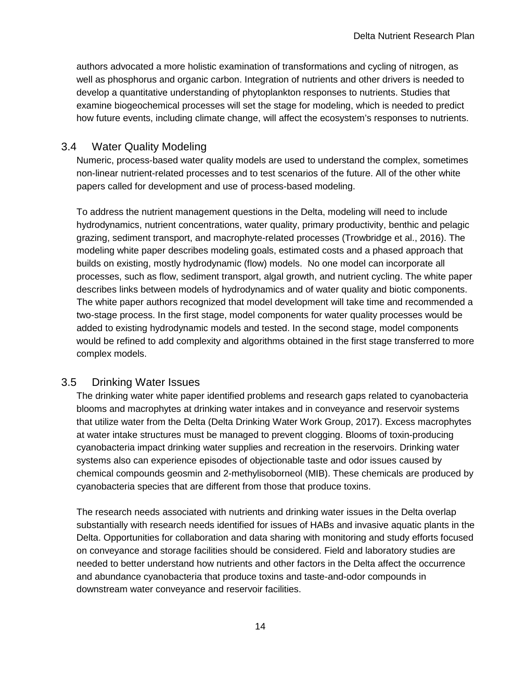examine biogeochemical processes will set the stage for modeling, which is needed to predict how future events, including climate change, will affect the ecosystem's responses to nutrients. 3.4 Water Quality Modeling authors advocated a more holistic examination of transformations and cycling of nitrogen, as well as phosphorus and organic carbon. Integration of nutrients and other drivers is needed to develop a quantitative understanding of phytoplankton responses to nutrients. Studies that

<span id="page-17-0"></span> Numeric, process-based water quality models are used to understand the complex, sometimes papers called for development and use of process-based modeling. non-linear nutrient-related processes and to test scenarios of the future. All of the other white

 grazing, sediment transport, and macrophyte-related processes (Trowbridge et al., 2016). The modeling white paper describes modeling goals, estimated costs and a phased approach that would be refined to add complexity and algorithms obtained in the first stage transferred to more complex models. To address the nutrient management questions in the Delta, modeling will need to include hydrodynamics, nutrient concentrations, water quality, primary productivity, benthic and pelagic builds on existing, mostly hydrodynamic (flow) models. No one model can incorporate all processes, such as flow, sediment transport, algal growth, and nutrient cycling. The white paper describes links between models of hydrodynamics and of water quality and biotic components. The white paper authors recognized that model development will take time and recommended a two-stage process. In the first stage, model components for water quality processes would be added to existing hydrodynamic models and tested. In the second stage, model components

## <span id="page-17-1"></span>3.5 Drinking Water Issues

 that utilize water from the Delta (Delta Drinking Water Work Group, 2017). Excess macrophytes at water intake structures must be managed to prevent clogging. Blooms of toxin-producing cyanobacteria species that are different from those that produce toxins. The drinking water white paper identified problems and research gaps related to cyanobacteria blooms and macrophytes at drinking water intakes and in conveyance and reservoir systems cyanobacteria impact drinking water supplies and recreation in the reservoirs. Drinking water systems also can experience episodes of objectionable taste and odor issues caused by chemical compounds geosmin and 2-methylisoborneol (MIB). These chemicals are produced by

cyanobacteria species that are different from those that produce toxins.<br>The research needs associated with nutrients and drinking water issues in the Delta overlap substantially with research needs identified for issues of HABs and invasive aquatic plants in the Delta. Opportunities for collaboration and data sharing with monitoring and study efforts focused on conveyance and storage facilities should be considered. Field and laboratory studies are needed to better understand how nutrients and other factors in the Delta affect the occurrence and abundance cyanobacteria that produce toxins and taste-and-odor compounds in downstream water conveyance and reservoir facilities.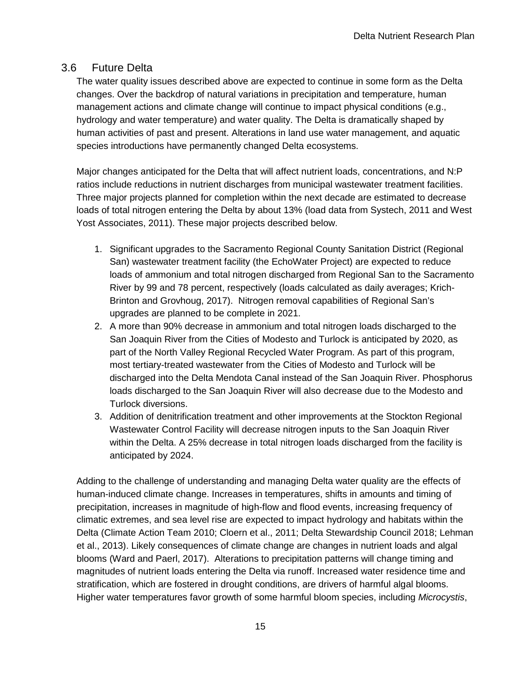## <span id="page-18-0"></span>3.6 Future Delta

 The water quality issues described above are expected to continue in some form as the Delta changes. Over the backdrop of natural variations in precipitation and temperature, human hydrology and water temperature) and water quality. The Delta is dramatically shaped by management actions and climate change will continue to impact physical conditions (e.g., human activities of past and present. Alterations in land use water management, and aquatic species introductions have permanently changed Delta ecosystems.

 ratios include reductions in nutrient discharges from municipal wastewater treatment facilities. Major changes anticipated for the Delta that will affect nutrient loads, concentrations, and N:P Three major projects planned for completion within the next decade are estimated to decrease loads of total nitrogen entering the Delta by about 13% (load data from Systech, 2011 and West Yost Associates, 2011). These major projects described below.

- 1. Significant upgrades to the Sacramento Regional County Sanitation District (Regional Brinton and Grovhoug, 2017). Nitrogen removal capabilities of Regional San's upgrades are planned to be complete in 2021. San) wastewater treatment facility (the EchoWater Project) are expected to reduce loads of ammonium and total nitrogen discharged from Regional San to the Sacramento River by 99 and 78 percent, respectively (loads calculated as daily averages; Krich-
- 2. A more than 90% decrease in ammonium and total nitrogen loads discharged to the San Joaquin River from the Cities of Modesto and Turlock is anticipated by 2020, as part of the North Valley Regional Recycled Water Program. As part of this program, most tertiary-treated wastewater from the Cities of Modesto and Turlock will be discharged into the Delta Mendota Canal instead of the San Joaquin River. Phosphorus loads discharged to the San Joaquin River will also decrease due to the Modesto and Turlock diversions.
- anticipated by 2024. 3. Addition of denitrification treatment and other improvements at the Stockton Regional Wastewater Control Facility will decrease nitrogen inputs to the San Joaquin River within the Delta. A 25% decrease in total nitrogen loads discharged from the facility is

 human-induced climate change. Increases in temperatures, shifts in amounts and timing of precipitation, increases in magnitude of high-flow and flood events, increasing frequency of climatic extremes, and sea level rise are expected to impact hydrology and habitats within the et al., 2013). Likely consequences of climate change are changes in nutrient loads and algal blooms (Ward and Paerl, 2017). Alterations to precipitation patterns will change timing and Higher water temperatures favor growth of some harmful bloom species, including *Microcystis*, Adding to the challenge of understanding and managing Delta water quality are the effects of Delta (Climate Action Team 2010; Cloern et al., 2011; Delta Stewardship Council 2018; Lehman magnitudes of nutrient loads entering the Delta via runoff. Increased water residence time and stratification, which are fostered in drought conditions, are drivers of harmful algal blooms.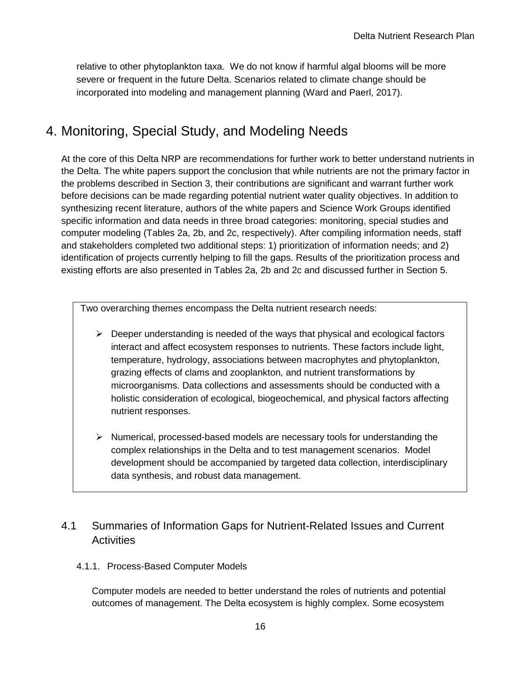relative to other phytoplankton taxa. We do not know if harmful algal blooms will be more severe or frequent in the future Delta. Scenarios related to climate change should be incorporated into modeling and management planning (Ward and Paerl, 2017).

# <span id="page-19-0"></span>4. Monitoring, Special Study, and Modeling Needs

 At the core of this Delta NRP are recommendations for further work to better understand nutrients in synthesizing recent literature, authors of the white papers and Science Work Groups identified the Delta. The white papers support the conclusion that while nutrients are not the primary factor in the problems described in Section 3, their contributions are significant and warrant further work before decisions can be made regarding potential nutrient water quality objectives. In addition to specific information and data needs in three broad categories: monitoring, special studies and computer modeling (Tables 2a, 2b, and 2c, respectively). After compiling information needs, staff and stakeholders completed two additional steps: 1) prioritization of information needs; and 2) identification of projects currently helping to fill the gaps. Results of the prioritization process and existing efforts are also presented in Tables 2a, 2b and 2c and discussed further in Section 5.

Two overarching themes encompass the Delta nutrient research needs:

- $\triangleright$  Deeper understanding is needed of the ways that physical and ecological factors grazing effects of clams and zooplankton, and nutrient transformations by holistic consideration of ecological, biogeochemical, and physical factors affecting nutrient responses. interact and affect ecosystem responses to nutrients. These factors include light, temperature, hydrology, associations between macrophytes and phytoplankton, microorganisms. Data collections and assessments should be conducted with a
- $\triangleright$  Numerical, processed-based models are necessary tools for understanding the complex relationships in the Delta and to test management scenarios. Model development should be accompanied by targeted data collection, interdisciplinary data synthesis, and robust data management.

## <span id="page-19-1"></span>4.1 Summaries of Information Gaps for Nutrient-Related Issues and Current **Activities**

### 4.1.1. Process-Based Computer Models

Computer models are needed to better understand the roles of nutrients and potential outcomes of management. The Delta ecosystem is highly complex. Some ecosystem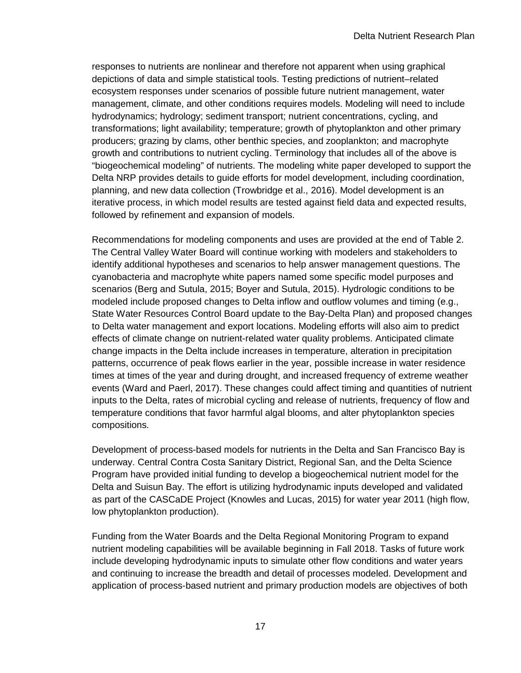depictions of data and simple statistical tools. Testing predictions of nutrient–related producers; grazing by clams, other benthic species, and zooplankton; and macrophyte growth and contributions to nutrient cycling. Terminology that includes all of the above is followed by refinement and expansion of models. responses to nutrients are nonlinear and therefore not apparent when using graphical ecosystem responses under scenarios of possible future nutrient management, water management, climate, and other conditions requires models. Modeling will need to include hydrodynamics; hydrology; sediment transport; nutrient concentrations, cycling, and transformations; light availability; temperature; growth of phytoplankton and other primary "biogeochemical modeling" of nutrients. The modeling white paper developed to support the Delta NRP provides details to guide efforts for model development, including coordination, planning, and new data collection (Trowbridge et al., 2016). Model development is an iterative process, in which model results are tested against field data and expected results,

 Recommendations for modeling components and uses are provided at the end of Table 2. identify additional hypotheses and scenarios to help answer management questions. The to Delta water management and export locations. Modeling efforts will also aim to predict inputs to the Delta, rates of microbial cycling and release of nutrients, frequency of flow and temperature conditions that favor harmful algal blooms, and alter phytoplankton species compositions. The Central Valley Water Board will continue working with modelers and stakeholders to cyanobacteria and macrophyte white papers named some specific model purposes and scenarios (Berg and Sutula, 2015; Boyer and Sutula, 2015). Hydrologic conditions to be modeled include proposed changes to Delta inflow and outflow volumes and timing (e.g., State Water Resources Control Board update to the Bay-Delta Plan) and proposed changes effects of climate change on nutrient-related water quality problems. Anticipated climate change impacts in the Delta include increases in temperature, alteration in precipitation patterns, occurrence of peak flows earlier in the year, possible increase in water residence times at times of the year and during drought, and increased frequency of extreme weather events (Ward and Paerl, 2017). These changes could affect timing and quantities of nutrient

 Program have provided initial funding to develop a biogeochemical nutrient model for the as part of the CASCaDE Project (Knowles and Lucas, 2015) for water year 2011 (high flow, low phytoplankton production). Development of process-based models for nutrients in the Delta and San Francisco Bay is underway. Central Contra Costa Sanitary District, Regional San, and the Delta Science Delta and Suisun Bay. The effort is utilizing hydrodynamic inputs developed and validated

low phytoplankton production).<br>Funding from the Water Boards and the Delta Regional Monitoring Program to expand nutrient modeling capabilities will be available beginning in Fall 2018. Tasks of future work include developing hydrodynamic inputs to simulate other flow conditions and water years and continuing to increase the breadth and detail of processes modeled. Development and application of process-based nutrient and primary production models are objectives of both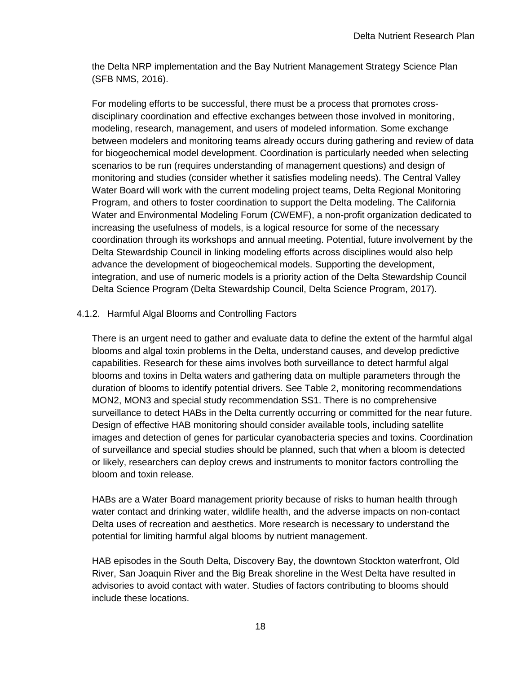(SFB NMS, 2016). the Delta NRP implementation and the Bay Nutrient Management Strategy Science Plan

 modeling, research, management, and users of modeled information. Some exchange between modelers and monitoring teams already occurs during gathering and review of data Program, and others to foster coordination to support the Delta modeling. The California For modeling efforts to be successful, there must be a process that promotes crossdisciplinary coordination and effective exchanges between those involved in monitoring, for biogeochemical model development. Coordination is particularly needed when selecting scenarios to be run (requires understanding of management questions) and design of monitoring and studies (consider whether it satisfies modeling needs). The Central Valley Water Board will work with the current modeling project teams, Delta Regional Monitoring Water and Environmental Modeling Forum (CWEMF), a non-profit organization dedicated to increasing the usefulness of models, is a logical resource for some of the necessary coordination through its workshops and annual meeting. Potential, future involvement by the Delta Stewardship Council in linking modeling efforts across disciplines would also help advance the development of biogeochemical models. Supporting the development, integration, and use of numeric models is a priority action of the Delta Stewardship Council Delta Science Program (Delta Stewardship Council, Delta Science Program, 2017).

### 4.1.2. Harmful Algal Blooms and Controlling Factors

 images and detection of genes for particular cyanobacteria species and toxins. Coordination There is an urgent need to gather and evaluate data to define the extent of the harmful algal blooms and algal toxin problems in the Delta, understand causes, and develop predictive capabilities. Research for these aims involves both surveillance to detect harmful algal blooms and toxins in Delta waters and gathering data on multiple parameters through the duration of blooms to identify potential drivers. See Table 2, monitoring recommendations MON2, MON3 and special study recommendation SS1. There is no comprehensive surveillance to detect HABs in the Delta currently occurring or committed for the near future. Design of effective HAB monitoring should consider available tools, including satellite of surveillance and special studies should be planned, such that when a bloom is detected or likely, researchers can deploy crews and instruments to monitor factors controlling the bloom and toxin release.

HABs are a Water Board management priority because of risks to human health through water contact and drinking water, wildlife health, and the adverse impacts on non-contact Delta uses of recreation and aesthetics. More research is necessary to understand the potential for limiting harmful algal blooms by nutrient management.

 advisories to avoid contact with water. Studies of factors contributing to blooms should include these locations.<br>18 HAB episodes in the South Delta, Discovery Bay, the downtown Stockton waterfront, Old River, San Joaquin River and the Big Break shoreline in the West Delta have resulted in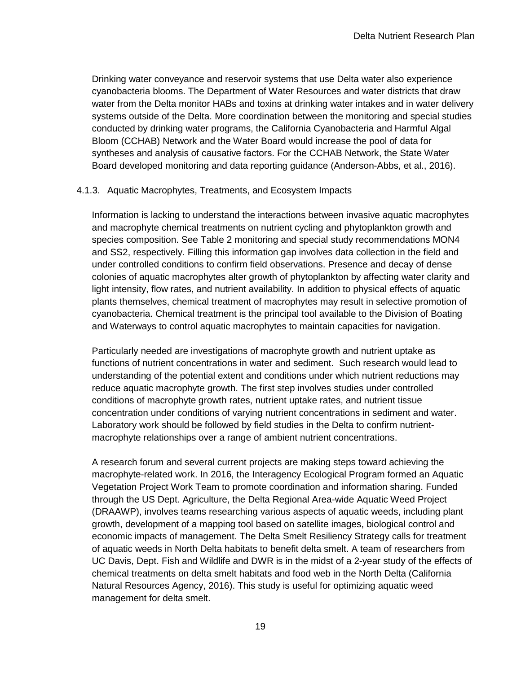cyanobacteria blooms. The Department of Water Resources and water districts that draw Bloom (CCHAB) Network and the Water Board would increase the pool of data for syntheses and analysis of causative factors. For the CCHAB Network, the State Water Drinking water conveyance and reservoir systems that use Delta water also experience water from the Delta monitor HABs and toxins at drinking water intakes and in water delivery systems outside of the Delta. More coordination between the monitoring and special studies conducted by drinking water programs, the California Cyanobacteria and Harmful Algal Board developed monitoring and data reporting guidance (Anderson-Abbs, et al., 2016).

### 4.1.3. Aquatic Macrophytes, Treatments, and Ecosystem Impacts

 and SS2, respectively. Filling this information gap involves data collection in the field and Information is lacking to understand the interactions between invasive aquatic macrophytes and macrophyte chemical treatments on nutrient cycling and phytoplankton growth and species composition. See Table 2 monitoring and special study recommendations MON4 under controlled conditions to confirm field observations. Presence and decay of dense colonies of aquatic macrophytes alter growth of phytoplankton by affecting water clarity and light intensity, flow rates, and nutrient availability. In addition to physical effects of aquatic plants themselves, chemical treatment of macrophytes may result in selective promotion of cyanobacteria. Chemical treatment is the principal tool available to the Division of Boating and Waterways to control aquatic macrophytes to maintain capacities for navigation.

 Particularly needed are investigations of macrophyte growth and nutrient uptake as functions of nutrient concentrations in water and sediment. Such research would lead to reduce aquatic macrophyte growth. The first step involves studies under controlled understanding of the potential extent and conditions under which nutrient reductions may conditions of macrophyte growth rates, nutrient uptake rates, and nutrient tissue concentration under conditions of varying nutrient concentrations in sediment and water. Laboratory work should be followed by field studies in the Delta to confirm nutrientmacrophyte relationships over a range of ambient nutrient concentrations.

 A research forum and several current projects are making steps toward achieving the macrophyte-related work. In 2016, the Interagency Ecological Program formed an Aquatic economic impacts of management. The Delta Smelt Resiliency Strategy calls for treatment of aquatic weeds in North Delta habitats to benefit delta smelt. A team of researchers from Vegetation Project Work Team to promote coordination and information sharing. Funded through the US Dept. Agriculture, the Delta Regional Area-wide Aquatic Weed Project (DRAAWP), involves teams researching various aspects of aquatic weeds, including plant growth, development of a mapping tool based on satellite images, biological control and UC Davis, Dept. Fish and Wildlife and DWR is in the midst of a 2-year study of the effects of chemical treatments on delta smelt habitats and food web in the North Delta (California Natural Resources Agency, 2016). This study is useful for optimizing aquatic weed management for delta smelt.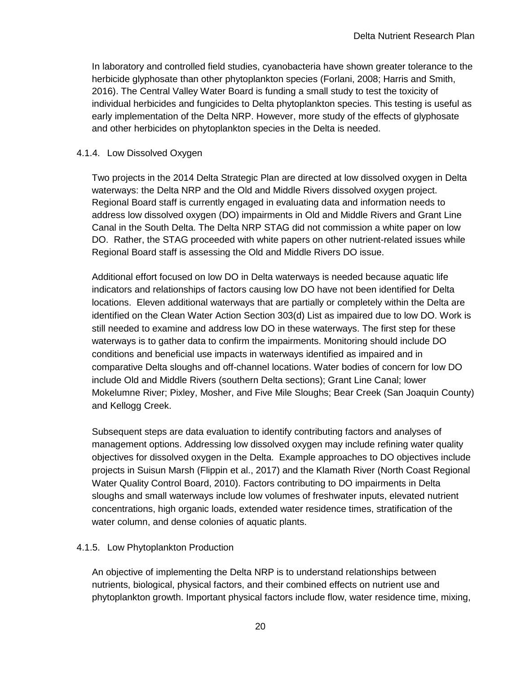and other herbicides on phytoplankton species in the Delta is needed.<br>4.1.4. Low Dissolved Oxygen In laboratory and controlled field studies, cyanobacteria have shown greater tolerance to the herbicide glyphosate than other phytoplankton species (Forlani, 2008; Harris and Smith, 2016). The Central Valley Water Board is funding a small study to test the toxicity of individual herbicides and fungicides to Delta phytoplankton species. This testing is useful as early implementation of the Delta NRP. However, more study of the effects of glyphosate

waterways: the Delta NRP and the Old and Middle Rivers dissolved oxygen project. Two projects in the 2014 Delta Strategic Plan are directed at low dissolved oxygen in Delta Regional Board staff is currently engaged in evaluating data and information needs to address low dissolved oxygen (DO) impairments in Old and Middle Rivers and Grant Line Canal in the South Delta. The Delta NRP STAG did not commission a white paper on low DO. Rather, the STAG proceeded with white papers on other nutrient-related issues while Regional Board staff is assessing the Old and Middle Rivers DO issue.

 indicators and relationships of factors causing low DO have not been identified for Delta locations. Eleven additional waterways that are partially or completely within the Delta are identified on the Clean Water Action Section 303(d) List as impaired due to low DO. Work is waterways is to gather data to confirm the impairments. Monitoring should include DO and Kellogg Creek. Additional effort focused on low DO in Delta waterways is needed because aquatic life still needed to examine and address low DO in these waterways. The first step for these conditions and beneficial use impacts in waterways identified as impaired and in comparative Delta sloughs and off-channel locations. Water bodies of concern for low DO include Old and Middle Rivers (southern Delta sections); Grant Line Canal; lower Mokelumne River; Pixley, Mosher, and Five Mile Sloughs; Bear Creek (San Joaquin County)

water column, and dense colonies of aquatic plants.<br>4.1.5. Low Phytoplankton Production Subsequent steps are data evaluation to identify contributing factors and analyses of management options. Addressing low dissolved oxygen may include refining water quality objectives for dissolved oxygen in the Delta. Example approaches to DO objectives include projects in [Suisun Marsh](https://www.waterboards.ca.gov/sanfranciscobay/water_issues/programs/TMDLs/suisunmarshtmdl.shtml) (Flippin et al., 2017) and the Klamath River (North Coast Regional Water Quality Control Board, 2010). Factors contributing to DO impairments in Delta sloughs and small waterways include low volumes of freshwater inputs, elevated nutrient concentrations, high organic loads, extended water residence times, stratification of the

 phytoplankton growth. Important physical factors include flow, water residence time, mixing, An objective of implementing the Delta NRP is to understand relationships between nutrients, biological, physical factors, and their combined effects on nutrient use and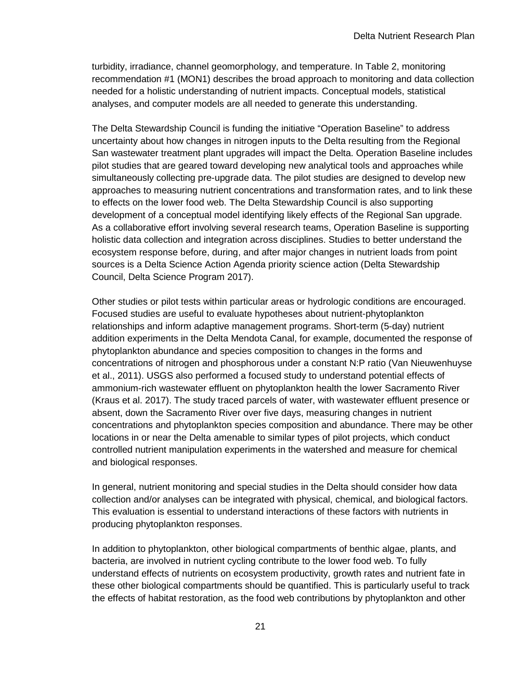turbidity, irradiance, channel geomorphology, and temperature. In Table 2, monitoring analyses, and computer models are all needed to generate this understanding. recommendation #1 (MON1) describes the broad approach to monitoring and data collection needed for a holistic understanding of nutrient impacts. Conceptual models, statistical

analyses, and computer models are all needed to generate this understanding.<br>The Delta Stewardship Council is funding the initiative "Operation Baseline" to address uncertainty about how changes in nitrogen inputs to the Delta resulting from the Regional San wastewater treatment plant upgrades will impact the Delta. Operation Baseline includes approaches to measuring nutrient concentrations and transformation rates, and to link these development of a conceptual model identifying likely effects of the Regional San upgrade. As a collaborative effort involving several research teams, Operation Baseline is supporting ecosystem response before, during, and after major changes in nutrient loads from point pilot studies that are geared toward developing new analytical tools and approaches while simultaneously collecting pre-upgrade data. The pilot studies are designed to develop new to effects on the lower food web. The Delta Stewardship Council is also supporting holistic data collection and integration across disciplines. Studies to better understand the sources is a Delta Science Action Agenda priority science action (Delta Stewardship Council, Delta Science Program 2017).

 Other studies or pilot tests within particular areas or hydrologic conditions are encouraged. phytoplankton abundance and species composition to changes in the forms and concentrations and phytoplankton species composition and abundance. There may be other Focused studies are useful to evaluate hypotheses about nutrient-phytoplankton relationships and inform adaptive management programs. Short-term (5-day) nutrient addition experiments in the Delta Mendota Canal, for example, documented the response of concentrations of nitrogen and phosphorous under a constant N:P ratio (Van Nieuwenhuyse et al., 2011). USGS also performed a focused study to understand potential effects of ammonium-rich wastewater effluent on phytoplankton health the lower Sacramento River (Kraus et al. 2017). The study traced parcels of water, with wastewater effluent presence or absent, down the Sacramento River over five days, measuring changes in nutrient locations in or near the Delta amenable to similar types of pilot projects, which conduct controlled nutrient manipulation experiments in the watershed and measure for chemical and biological responses.

 collection and/or analyses can be integrated with physical, chemical, and biological factors. producing phytoplankton responses. In general, nutrient monitoring and special studies in the Delta should consider how data This evaluation is essential to understand interactions of these factors with nutrients in

 these other biological compartments should be quantified. This is particularly useful to track In addition to phytoplankton, other biological compartments of benthic algae, plants, and bacteria, are involved in nutrient cycling contribute to the lower food web. To fully understand effects of nutrients on ecosystem productivity, growth rates and nutrient fate in the effects of habitat restoration, as the food web contributions by phytoplankton and other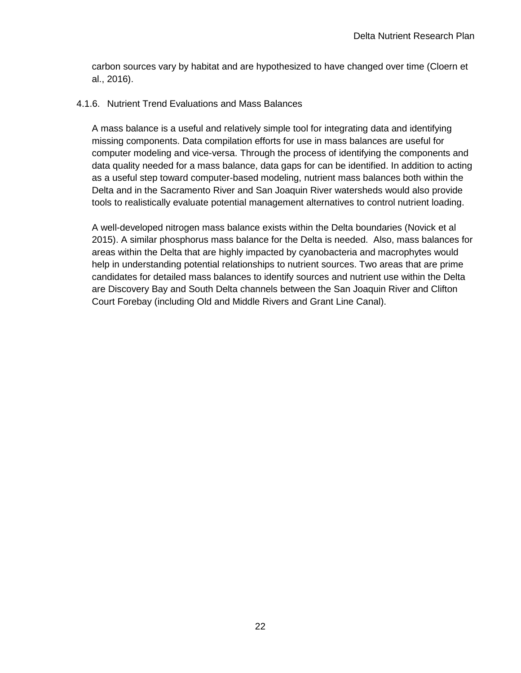carbon sources vary by habitat and are hypothesized to have changed over time (Cloern et al., 2016).

### 4.1.6. Nutrient Trend Evaluations and Mass Balances

 missing components. Data compilation efforts for use in mass balances are useful for data quality needed for a mass balance, data gaps for can be identified. In addition to acting A mass balance is a useful and relatively simple tool for integrating data and identifying computer modeling and vice-versa. Through the process of identifying the components and as a useful step toward computer-based modeling, nutrient mass balances both within the Delta and in the Sacramento River and San Joaquin River watersheds would also provide tools to realistically evaluate potential management alternatives to control nutrient loading.

 A well-developed nitrogen mass balance exists within the Delta boundaries (Novick et al 2015). A similar phosphorus mass balance for the Delta is needed. Also, mass balances for help in understanding potential relationships to nutrient sources. Two areas that are prime Court Forebay (including Old and Middle Rivers and Grant Line Canal). areas within the Delta that are highly impacted by cyanobacteria and macrophytes would candidates for detailed mass balances to identify sources and nutrient use within the Delta are Discovery Bay and South Delta channels between the San Joaquin River and Clifton Court Forebay (including Old and Middle Rivers and Grant Line Canal). 22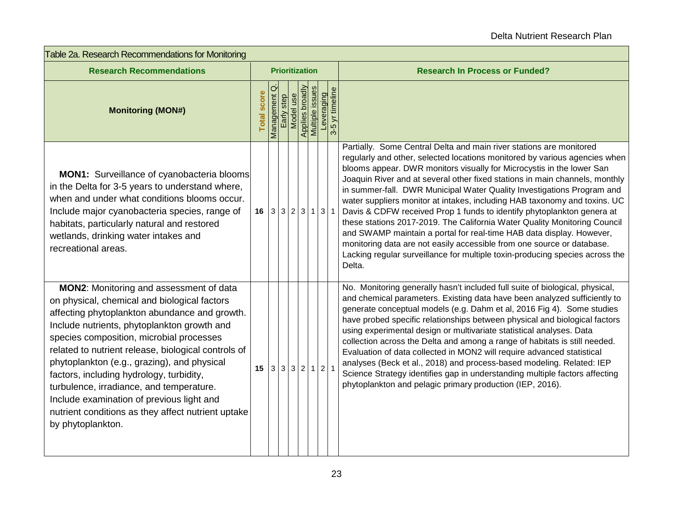<span id="page-26-0"></span>

| Table 2a. Research Recommendations for Monitoring                                                                                                                                                                                                                                                                                                                                                                                                                                                                                                         |                    |              |            |                       |                                           |            |                 |  |                                                                                                                                                                                                                                                                                                                                                                                                                                                                                                                                                                                                                                                                                                                                                                                                                                                                     |  |  |  |
|-----------------------------------------------------------------------------------------------------------------------------------------------------------------------------------------------------------------------------------------------------------------------------------------------------------------------------------------------------------------------------------------------------------------------------------------------------------------------------------------------------------------------------------------------------------|--------------------|--------------|------------|-----------------------|-------------------------------------------|------------|-----------------|--|---------------------------------------------------------------------------------------------------------------------------------------------------------------------------------------------------------------------------------------------------------------------------------------------------------------------------------------------------------------------------------------------------------------------------------------------------------------------------------------------------------------------------------------------------------------------------------------------------------------------------------------------------------------------------------------------------------------------------------------------------------------------------------------------------------------------------------------------------------------------|--|--|--|
| <b>Research Recommendations</b>                                                                                                                                                                                                                                                                                                                                                                                                                                                                                                                           |                    |              |            | <b>Prioritization</b> |                                           |            |                 |  | <b>Research In Process or Funded?</b>                                                                                                                                                                                                                                                                                                                                                                                                                                                                                                                                                                                                                                                                                                                                                                                                                               |  |  |  |
| <b>Monitoring (MON#)</b>                                                                                                                                                                                                                                                                                                                                                                                                                                                                                                                                  | <b>Total score</b> | Management Q | Early step | Model use             | <b>Applies broadly</b><br>Multiple issues | Leveraging | 3-5 yr timeline |  |                                                                                                                                                                                                                                                                                                                                                                                                                                                                                                                                                                                                                                                                                                                                                                                                                                                                     |  |  |  |
| <b>MON1:</b> Surveillance of cyanobacteria blooms<br>in the Delta for 3-5 years to understand where,<br>when and under what conditions blooms occur.<br>Include major cyanobacteria species, range of<br>habitats, particularly natural and restored<br>wetlands, drinking water intakes and<br>recreational areas.                                                                                                                                                                                                                                       | 16                 |              |            | 3   3   2   3   1     |                                           |            | 3 1             |  | Partially. Some Central Delta and main river stations are monitored<br>regularly and other, selected locations monitored by various agencies when<br>blooms appear. DWR monitors visually for Microcystis in the lower San<br>Joaquin River and at several other fixed stations in main channels, monthly<br>in summer-fall. DWR Municipal Water Quality Investigations Program and<br>water suppliers monitor at intakes, including HAB taxonomy and toxins. UC<br>Davis & CDFW received Prop 1 funds to identify phytoplankton genera at<br>these stations 2017-2019. The California Water Quality Monitoring Council<br>and SWAMP maintain a portal for real-time HAB data display. However,<br>monitoring data are not easily accessible from one source or database.<br>Lacking regular surveillance for multiple toxin-producing species across the<br>Delta. |  |  |  |
| MON2: Monitoring and assessment of data<br>on physical, chemical and biological factors<br>affecting phytoplankton abundance and growth.<br>Include nutrients, phytoplankton growth and<br>species composition, microbial processes<br>related to nutrient release, biological controls of<br>phytoplankton (e.g., grazing), and physical<br>factors, including hydrology, turbidity,<br>turbulence, irradiance, and temperature.<br>Include examination of previous light and<br>nutrient conditions as they affect nutrient uptake<br>by phytoplankton. | 15                 |              |            | 3 3 3 2 1             |                                           |            | 2 1             |  | No. Monitoring generally hasn't included full suite of biological, physical,<br>and chemical parameters. Existing data have been analyzed sufficiently to<br>generate conceptual models (e.g. Dahm et al, 2016 Fig 4). Some studies<br>have probed specific relationships between physical and biological factors<br>using experimental design or multivariate statistical analyses. Data<br>collection across the Delta and among a range of habitats is still needed.<br>Evaluation of data collected in MON2 will require advanced statistical<br>analyses (Beck et al., 2018) and process-based modeling. Related: IEP<br>Science Strategy identifies gap in understanding multiple factors affecting<br>phytoplankton and pelagic primary production (IEP, 2016).                                                                                              |  |  |  |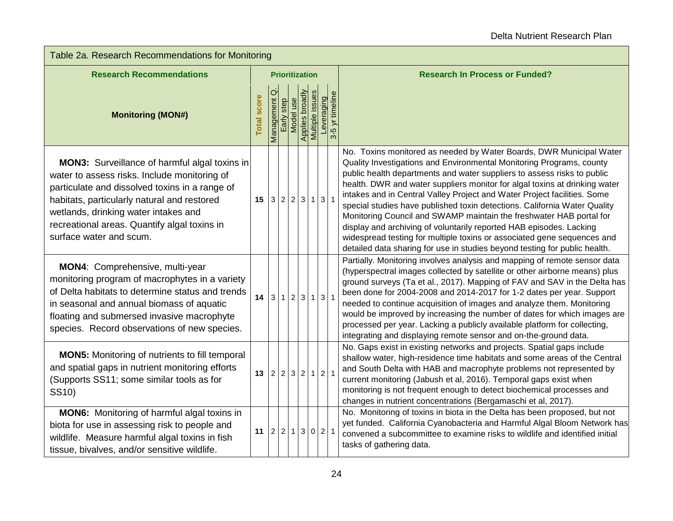|                                                                                                                                                                                                                                                                                                                          | Table 2a. Research Recommendations for Monitoring |              |            |                              |                 |                                               |                 |                                                                                                                                                                                                                                                                                                                                                                                                                                                                                                                                                                                                                                                                                                                                                                      |  |  |  |  |  |  |
|--------------------------------------------------------------------------------------------------------------------------------------------------------------------------------------------------------------------------------------------------------------------------------------------------------------------------|---------------------------------------------------|--------------|------------|------------------------------|-----------------|-----------------------------------------------|-----------------|----------------------------------------------------------------------------------------------------------------------------------------------------------------------------------------------------------------------------------------------------------------------------------------------------------------------------------------------------------------------------------------------------------------------------------------------------------------------------------------------------------------------------------------------------------------------------------------------------------------------------------------------------------------------------------------------------------------------------------------------------------------------|--|--|--|--|--|--|
| <b>Research Recommendations</b>                                                                                                                                                                                                                                                                                          |                                                   |              |            | <b>Prioritization</b>        |                 |                                               |                 | <b>Research In Process or Funded?</b>                                                                                                                                                                                                                                                                                                                                                                                                                                                                                                                                                                                                                                                                                                                                |  |  |  |  |  |  |
| <b>Monitoring (MON#)</b>                                                                                                                                                                                                                                                                                                 | <b>Total score</b>                                | Management Q | Early step | Applies broadly<br>Model use | Multiple issues | Leveraging                                    | 3-5 yr timeline |                                                                                                                                                                                                                                                                                                                                                                                                                                                                                                                                                                                                                                                                                                                                                                      |  |  |  |  |  |  |
| <b>MON3:</b> Surveillance of harmful algal toxins in<br>water to assess risks. Include monitoring of<br>particulate and dissolved toxins in a range of<br>habitats, particularly natural and restored<br>wetlands, drinking water intakes and<br>recreational areas. Quantify algal toxins in<br>surface water and scum. | 15                                                |              |            | 3223                         |                 | $1 \overline{\smash{3}} \overline{\smash{1}}$ |                 | No. Toxins monitored as needed by Water Boards, DWR Municipal Water<br>Quality Investigations and Environmental Monitoring Programs, county<br>public health departments and water suppliers to assess risks to public<br>health. DWR and water suppliers monitor for algal toxins at drinking water<br>intakes and in Central Valley Project and Water Project facilities. Some<br>special studies have published toxin detections. California Water Quality<br>Monitoring Council and SWAMP maintain the freshwater HAB portal for<br>display and archiving of voluntarily reported HAB episodes. Lacking<br>widespread testing for multiple toxins or associated gene sequences and<br>detailed data sharing for use in studies beyond testing for public health. |  |  |  |  |  |  |
| MON4: Comprehensive, multi-year<br>monitoring program of macrophytes in a variety<br>of Delta habitats to determine status and trends<br>in seasonal and annual biomass of aquatic<br>floating and submersed invasive macrophyte<br>species. Record observations of new species.                                         | 14 3 1 2 3                                        |              |            |                              |                 | $1 \overline{\smash{3}}$ 1                    |                 | Partially. Monitoring involves analysis and mapping of remote sensor data<br>(hyperspectral images collected by satellite or other airborne means) plus<br>ground surveys (Ta et al., 2017). Mapping of FAV and SAV in the Delta has<br>been done for 2004-2008 and 2014-2017 for 1-2 dates per year. Support<br>needed to continue acquisition of images and analyze them. Monitoring<br>would be improved by increasing the number of dates for which images are<br>processed per year. Lacking a publicly available platform for collecting,<br>integrating and displaying remote sensor and on-the-ground data.                                                                                                                                                  |  |  |  |  |  |  |
| <b>MON5:</b> Monitoring of nutrients to fill temporal<br>and spatial gaps in nutrient monitoring efforts<br>(Supports SS11; some similar tools as for<br>SS <sub>10</sub> )                                                                                                                                              | 13 2 2 3 2                                        |              |            |                              |                 | $1 \quad 2 \quad 1$                           |                 | No. Gaps exist in existing networks and projects. Spatial gaps include<br>shallow water, high-residence time habitats and some areas of the Central<br>and South Delta with HAB and macrophyte problems not represented by<br>current monitoring (Jabush et al, 2016). Temporal gaps exist when<br>monitoring is not frequent enough to detect biochemical processes and<br>changes in nutrient concentrations (Bergamaschi et al, 2017).                                                                                                                                                                                                                                                                                                                            |  |  |  |  |  |  |
| <b>MON6:</b> Monitoring of harmful algal toxins in<br>biota for use in assessing risk to people and<br>wildlife. Measure harmful algal toxins in fish<br>tissue, bivalves, and/or sensitive wildlife.                                                                                                                    | 11 $ 2 2 1 3 0 2 1$                               |              |            |                              |                 |                                               |                 | No. Monitoring of toxins in biota in the Delta has been proposed, but not<br>yet funded. California Cyanobacteria and Harmful Algal Bloom Network has<br>convened a subcommittee to examine risks to wildlife and identified initial<br>tasks of gathering data.                                                                                                                                                                                                                                                                                                                                                                                                                                                                                                     |  |  |  |  |  |  |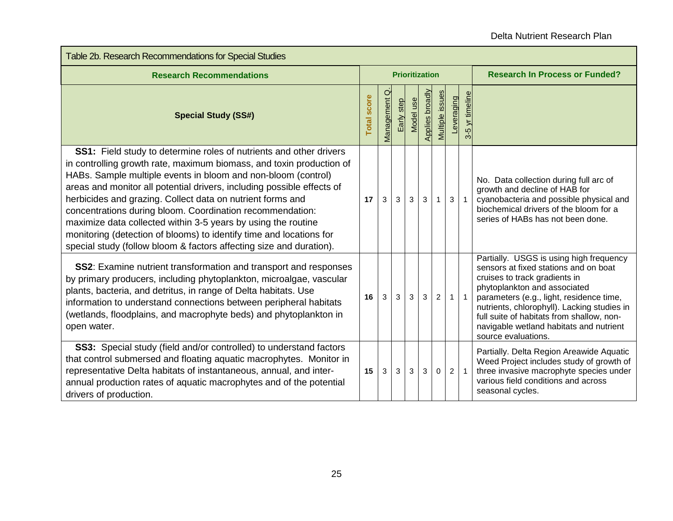<span id="page-28-0"></span>

| Table 2b. Research Recommendations for Special Studies                                                                                                                                                                                                                                                                                                                                                                                                                                                                                                                                                                          |                    |            |            |           |                        |                 |                |                 |                                                                                                                                                                                                                                                                                                                                                             |  |
|---------------------------------------------------------------------------------------------------------------------------------------------------------------------------------------------------------------------------------------------------------------------------------------------------------------------------------------------------------------------------------------------------------------------------------------------------------------------------------------------------------------------------------------------------------------------------------------------------------------------------------|--------------------|------------|------------|-----------|------------------------|-----------------|----------------|-----------------|-------------------------------------------------------------------------------------------------------------------------------------------------------------------------------------------------------------------------------------------------------------------------------------------------------------------------------------------------------------|--|
| <b>Research Recommendations</b>                                                                                                                                                                                                                                                                                                                                                                                                                                                                                                                                                                                                 |                    |            |            |           | <b>Prioritization</b>  |                 |                |                 | <b>Research In Process or Funded?</b>                                                                                                                                                                                                                                                                                                                       |  |
| <b>Special Study (SS#)</b>                                                                                                                                                                                                                                                                                                                                                                                                                                                                                                                                                                                                      | <b>Total score</b> | Management | Early step | Model use | <b>Applies broadly</b> | Multiple issues | Leveraging     | 3-5 yr timeline |                                                                                                                                                                                                                                                                                                                                                             |  |
| SS1: Field study to determine roles of nutrients and other drivers<br>in controlling growth rate, maximum biomass, and toxin production of<br>HABs. Sample multiple events in bloom and non-bloom (control)<br>areas and monitor all potential drivers, including possible effects of<br>herbicides and grazing. Collect data on nutrient forms and<br>concentrations during bloom. Coordination recommendation:<br>maximize data collected within 3-5 years by using the routine<br>monitoring (detection of blooms) to identify time and locations for<br>special study (follow bloom & factors affecting size and duration). | 17                 | 3          | 3          | 3         | $\mathbf{3}$           | 1               | $\sqrt{3}$     | $\overline{1}$  | No. Data collection during full arc of<br>growth and decline of HAB for<br>cyanobacteria and possible physical and<br>biochemical drivers of the bloom for a<br>series of HABs has not been done.                                                                                                                                                           |  |
| <b>SS2</b> : Examine nutrient transformation and transport and responses<br>by primary producers, including phytoplankton, microalgae, vascular<br>plants, bacteria, and detritus, in range of Delta habitats. Use<br>information to understand connections between peripheral habitats<br>(wetlands, floodplains, and macrophyte beds) and phytoplankton in<br>open water.                                                                                                                                                                                                                                                     | 16                 | 3          | 3          | 3         | $\mathbf{3}$           | $\overline{2}$  | $\mathbf{1}$   | $\overline{1}$  | Partially. USGS is using high frequency<br>sensors at fixed stations and on boat<br>cruises to track gradients in<br>phytoplankton and associated<br>parameters (e.g., light, residence time,<br>nutrients, chlorophyll). Lacking studies in<br>full suite of habitats from shallow, non-<br>navigable wetland habitats and nutrient<br>source evaluations. |  |
| SS3: Special study (field and/or controlled) to understand factors<br>that control submersed and floating aquatic macrophytes. Monitor in<br>representative Delta habitats of instantaneous, annual, and inter-<br>annual production rates of aquatic macrophytes and of the potential<br>drivers of production.                                                                                                                                                                                                                                                                                                                | 15                 | 3          | 3          | 3         | $\mathbf{3}$           | $\mathbf 0$     | $\overline{2}$ | $\mathbf{1}$    | Partially. Delta Region Areawide Aquatic<br>Weed Project includes study of growth of<br>three invasive macrophyte species under<br>various field conditions and across<br>seasonal cycles.                                                                                                                                                                  |  |
| 25                                                                                                                                                                                                                                                                                                                                                                                                                                                                                                                                                                                                                              |                    |            |            |           |                        |                 |                |                 |                                                                                                                                                                                                                                                                                                                                                             |  |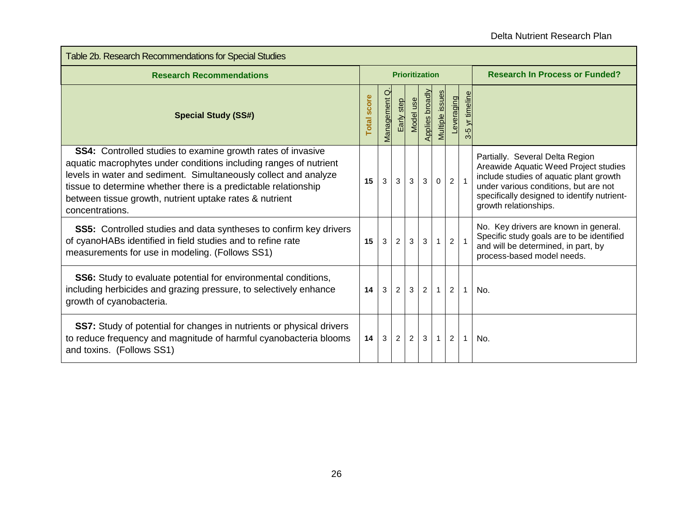| Table 2b. Research Recommendations for Special Studies                                                                                                                                                                                                                                                                                                       |                    |                |                |                       |                 |                 |                |                                          |                                                                                                                                                                                                                                      |
|--------------------------------------------------------------------------------------------------------------------------------------------------------------------------------------------------------------------------------------------------------------------------------------------------------------------------------------------------------------|--------------------|----------------|----------------|-----------------------|-----------------|-----------------|----------------|------------------------------------------|--------------------------------------------------------------------------------------------------------------------------------------------------------------------------------------------------------------------------------------|
| <b>Research Recommendations</b>                                                                                                                                                                                                                                                                                                                              |                    |                |                | <b>Prioritization</b> |                 |                 |                |                                          | <b>Research In Process or Funded?</b>                                                                                                                                                                                                |
| <b>Special Study (SS#)</b>                                                                                                                                                                                                                                                                                                                                   | <b>Total score</b> | Ø<br>anagement | step<br>Early  | Model use             | Applies broadly | Multiple issues | Leveraging     | $\mathbf{\Phi}$<br>yr timelin<br>$3 - 5$ |                                                                                                                                                                                                                                      |
| <b>SS4:</b> Controlled studies to examine growth rates of invasive<br>aquatic macrophytes under conditions including ranges of nutrient<br>levels in water and sediment. Simultaneously collect and analyze<br>tissue to determine whether there is a predictable relationship<br>between tissue growth, nutrient uptake rates & nutrient<br>concentrations. | 15                 | 3              | 3              | 3                     | 3               | 0               | $\overline{2}$ | $\overline{1}$                           | Partially. Several Delta Region<br>Areawide Aquatic Weed Project studies<br>include studies of aquatic plant growth<br>under various conditions, but are not<br>specifically designed to identify nutrient-<br>growth relationships. |
| <b>SS5:</b> Controlled studies and data syntheses to confirm key drivers<br>of cyanoHABs identified in field studies and to refine rate<br>measurements for use in modeling. (Follows SS1)                                                                                                                                                                   | 15                 | 3              | $\overline{2}$ | 3                     | 3               | $\mathbf{1}$    | $\overline{c}$ |                                          | No. Key drivers are known in general.<br>Specific study goals are to be identified<br>and will be determined, in part, by<br>process-based model needs.                                                                              |
| <b>SS6:</b> Study to evaluate potential for environmental conditions,<br>including herbicides and grazing pressure, to selectively enhance<br>growth of cyanobacteria.                                                                                                                                                                                       | 14                 | 3              | $\overline{2}$ | 3 <sup>1</sup>        | $\overline{2}$  | 1 <sup>1</sup>  | $\overline{2}$ | $\mathbf{1}$                             | No.                                                                                                                                                                                                                                  |
| <b>SS7:</b> Study of potential for changes in nutrients or physical drivers<br>to reduce frequency and magnitude of harmful cyanobacteria blooms<br>and toxins. (Follows SS1)                                                                                                                                                                                | 14                 | 3 <sup>1</sup> | $2^{\circ}$    | 2 <sup>1</sup>        | 3 <sup>1</sup>  | $\vert$ 1       | $\overline{2}$ | $\mathbf{1}$                             | No.                                                                                                                                                                                                                                  |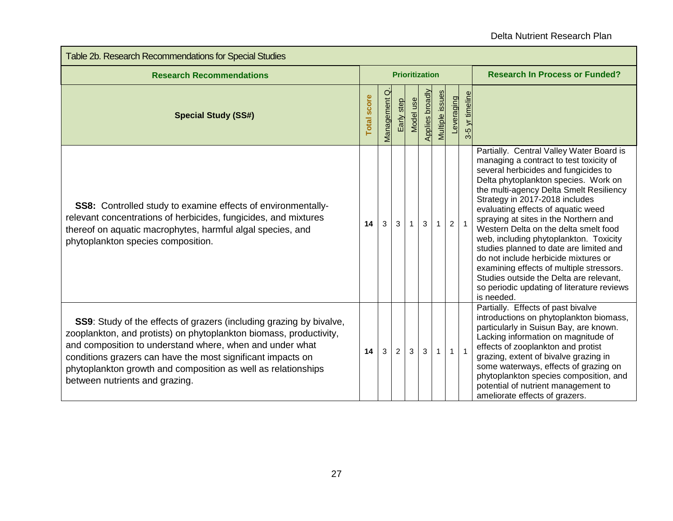| Table 2b. Research Recommendations for Special Studies                                                                                                                                                                                                                                                                                                                          |                    |                 |            |           |                       |                        |                |                 |                                                                                                                                                                                                                                                                                                                                                                                                                                                                                                                                                                                                                                                          |  |
|---------------------------------------------------------------------------------------------------------------------------------------------------------------------------------------------------------------------------------------------------------------------------------------------------------------------------------------------------------------------------------|--------------------|-----------------|------------|-----------|-----------------------|------------------------|----------------|-----------------|----------------------------------------------------------------------------------------------------------------------------------------------------------------------------------------------------------------------------------------------------------------------------------------------------------------------------------------------------------------------------------------------------------------------------------------------------------------------------------------------------------------------------------------------------------------------------------------------------------------------------------------------------------|--|
| <b>Research Recommendations</b>                                                                                                                                                                                                                                                                                                                                                 |                    |                 |            |           | <b>Prioritization</b> |                        |                |                 | <b>Research In Process or Funded?</b>                                                                                                                                                                                                                                                                                                                                                                                                                                                                                                                                                                                                                    |  |
| <b>Special Study (SS#)</b>                                                                                                                                                                                                                                                                                                                                                      | <b>Total score</b> | Ø<br>Management | Early step | Model use | Applies broadly       | <b>Multiple issues</b> | Leveraging     | 3-5 yr timeline |                                                                                                                                                                                                                                                                                                                                                                                                                                                                                                                                                                                                                                                          |  |
| <b>SS8:</b> Controlled study to examine effects of environmentally-<br>relevant concentrations of herbicides, fungicides, and mixtures<br>thereof on aquatic macrophytes, harmful algal species, and<br>phytoplankton species composition.                                                                                                                                      | 14                 | 3               | 3          |           | $\mathfrak{S}$        |                        | $\overline{2}$ | $\overline{1}$  | Partially. Central Valley Water Board is<br>managing a contract to test toxicity of<br>several herbicides and fungicides to<br>Delta phytoplankton species. Work on<br>the multi-agency Delta Smelt Resiliency<br>Strategy in 2017-2018 includes<br>evaluating effects of aquatic weed<br>spraying at sites in the Northern and<br>Western Delta on the delta smelt food<br>web, including phytoplankton. Toxicity<br>studies planned to date are limited and<br>do not include herbicide mixtures or<br>examining effects of multiple stressors.<br>Studies outside the Delta are relevant,<br>so periodic updating of literature reviews<br>is needed. |  |
| <b>SS9</b> : Study of the effects of grazers (including grazing by bivalve,<br>zooplankton, and protists) on phytoplankton biomass, productivity,<br>and composition to understand where, when and under what<br>conditions grazers can have the most significant impacts on<br>phytoplankton growth and composition as well as relationships<br>between nutrients and grazing. | 14                 | 3               | 2          | 3         | 3                     | $\mathbf 1$            | $\mathbf{1}$   | $\overline{1}$  | Partially. Effects of past bivalve<br>introductions on phytoplankton biomass,<br>particularly in Suisun Bay, are known.<br>Lacking information on magnitude of<br>effects of zooplankton and protist<br>grazing, extent of bivalve grazing in<br>some waterways, effects of grazing on<br>phytoplankton species composition, and<br>potential of nutrient management to<br>ameliorate effects of grazers.                                                                                                                                                                                                                                                |  |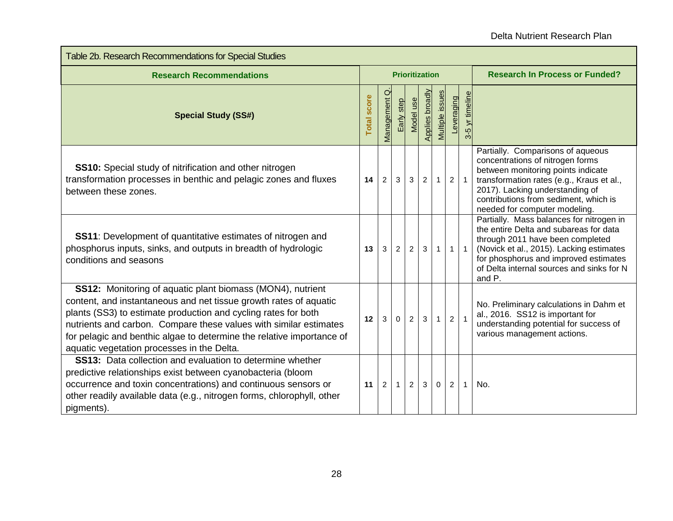| Table 2b. Research Recommendations for Special Studies                                                                                                                                                                                                                                                                                                                                               |                    |                |                |                |                       |                 |                |                 |                                                                                                                                                                                                                                                                       |  |
|------------------------------------------------------------------------------------------------------------------------------------------------------------------------------------------------------------------------------------------------------------------------------------------------------------------------------------------------------------------------------------------------------|--------------------|----------------|----------------|----------------|-----------------------|-----------------|----------------|-----------------|-----------------------------------------------------------------------------------------------------------------------------------------------------------------------------------------------------------------------------------------------------------------------|--|
| <b>Research Recommendations</b>                                                                                                                                                                                                                                                                                                                                                                      |                    |                |                |                | <b>Prioritization</b> |                 |                |                 | <b>Research In Process or Funded?</b>                                                                                                                                                                                                                                 |  |
| <b>Special Study (SS#)</b>                                                                                                                                                                                                                                                                                                                                                                           | <b>Total score</b> | O<br>anagement | Early step     | Model use      | Applies broadly       | Multiple issues | Leveraging     | 3-5 yr timeline |                                                                                                                                                                                                                                                                       |  |
| SS10: Special study of nitrification and other nitrogen<br>transformation processes in benthic and pelagic zones and fluxes<br>between these zones.                                                                                                                                                                                                                                                  | 14                 | 2              | 3              | 3              | $\overline{2}$        | $\overline{1}$  | $\overline{2}$ | $\overline{1}$  | Partially. Comparisons of aqueous<br>concentrations of nitrogen forms<br>between monitoring points indicate<br>transformation rates (e.g., Kraus et al.,<br>2017). Lacking understanding of<br>contributions from sediment, which is<br>needed for computer modeling. |  |
| <b>SS11:</b> Development of quantitative estimates of nitrogen and<br>phosphorus inputs, sinks, and outputs in breadth of hydrologic<br>conditions and seasons                                                                                                                                                                                                                                       | 13                 | 3              | $\overline{2}$ | $\overline{2}$ | $\mathbf{3}$          | $\mathbf{1}$    | $1 \mid$       | $\overline{1}$  | Partially. Mass balances for nitrogen in<br>the entire Delta and subareas for data<br>through 2011 have been completed<br>(Novick et al., 2015). Lacking estimates<br>for phosphorus and improved estimates<br>of Delta internal sources and sinks for N<br>and P.    |  |
| <b>SS12:</b> Monitoring of aquatic plant biomass (MON4), nutrient<br>content, and instantaneous and net tissue growth rates of aquatic<br>plants (SS3) to estimate production and cycling rates for both<br>nutrients and carbon. Compare these values with similar estimates<br>for pelagic and benthic algae to determine the relative importance of<br>aquatic vegetation processes in the Delta. | 12                 | 3              | 0              | $\overline{c}$ | 3                     | $\mathbf{1}$    | 2 <sup>1</sup> | (1)             | No. Preliminary calculations in Dahm et<br>al., 2016. SS12 is important for<br>understanding potential for success of<br>various management actions.                                                                                                                  |  |
| <b>SS13:</b> Data collection and evaluation to determine whether<br>predictive relationships exist between cyanobacteria (bloom<br>occurrence and toxin concentrations) and continuous sensors or<br>other readily available data (e.g., nitrogen forms, chlorophyll, other<br>pigments).                                                                                                            | 11                 | $\overline{2}$ | $\mathbf{1}$   | $2^{\circ}$    | 3 <sup>1</sup>        | $\mathbf 0$     | $\overline{2}$ | $\mathbf{1}$    | No.                                                                                                                                                                                                                                                                   |  |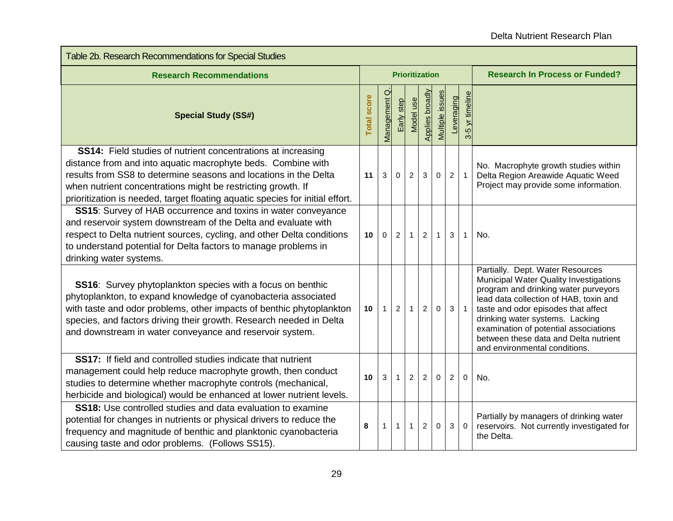| Table 2b. Research Recommendations for Special Studies                                                                                                                                                                                                                                                                                                   |                    |                       |                                       |                |                 |                 |                |                 |                                                                                                                                                                                                                                                                                                                                                           |
|----------------------------------------------------------------------------------------------------------------------------------------------------------------------------------------------------------------------------------------------------------------------------------------------------------------------------------------------------------|--------------------|-----------------------|---------------------------------------|----------------|-----------------|-----------------|----------------|-----------------|-----------------------------------------------------------------------------------------------------------------------------------------------------------------------------------------------------------------------------------------------------------------------------------------------------------------------------------------------------------|
| <b>Research Recommendations</b>                                                                                                                                                                                                                                                                                                                          |                    | <b>Prioritization</b> | <b>Research In Process or Funded?</b> |                |                 |                 |                |                 |                                                                                                                                                                                                                                                                                                                                                           |
| <b>Special Study (SS#)</b>                                                                                                                                                                                                                                                                                                                               | <b>Total score</b> | σ<br>anagement<br>Ž   | Early step                            | Model use      | Applies broadly | Multiple issues | Leveraging     | 3-5 yr timeline |                                                                                                                                                                                                                                                                                                                                                           |
| <b>SS14:</b> Field studies of nutrient concentrations at increasing<br>distance from and into aquatic macrophyte beds. Combine with<br>results from SS8 to determine seasons and locations in the Delta<br>when nutrient concentrations might be restricting growth. If<br>prioritization is needed, target floating aquatic species for initial effort. | 11                 | 3                     | $\Omega$                              | $\overline{2}$ | 3               | $\mathbf 0$     | $\overline{2}$ | $\overline{1}$  | No. Macrophyte growth studies within<br>Delta Region Areawide Aquatic Weed<br>Project may provide some information.                                                                                                                                                                                                                                       |
| SS15: Survey of HAB occurrence and toxins in water conveyance<br>and reservoir system downstream of the Delta and evaluate with<br>respect to Delta nutrient sources, cycling, and other Delta conditions<br>to understand potential for Delta factors to manage problems in<br>drinking water systems.                                                  | 10                 | $\Omega$              | $\overline{2}$                        | $1 \mid$       | $2^{\circ}$     | $1 \vert$       | 3              | $\mathbf{1}$    | No.                                                                                                                                                                                                                                                                                                                                                       |
| <b>SS16:</b> Survey phytoplankton species with a focus on benthic<br>phytoplankton, to expand knowledge of cyanobacteria associated<br>with taste and odor problems, other impacts of benthic phytoplankton<br>species, and factors driving their growth. Research needed in Delta<br>and downstream in water conveyance and reservoir system.           | 10                 | $\mathbf{1}$          | $\overline{2}$                        | $\mathbf{1}$   | $\overline{2}$  | $\mathbf 0$     | 3              | $\overline{1}$  | Partially. Dept. Water Resources<br>Municipal Water Quality Investigations<br>program and drinking water purveyors<br>lead data collection of HAB, toxin and<br>taste and odor episodes that affect<br>drinking water systems. Lacking<br>examination of potential associations<br>between these data and Delta nutrient<br>and environmental conditions. |
| <b>SS17:</b> If field and controlled studies indicate that nutrient<br>management could help reduce macrophyte growth, then conduct<br>studies to determine whether macrophyte controls (mechanical,<br>herbicide and biological) would be enhanced at lower nutrient levels.                                                                            | 10                 | 3                     | 1                                     | $\overline{2}$ | $\overline{2}$  | $\overline{0}$  | $\overline{2}$ | $\mathbf 0$     | No.                                                                                                                                                                                                                                                                                                                                                       |
| <b>SS18:</b> Use controlled studies and data evaluation to examine<br>potential for changes in nutrients or physical drivers to reduce the<br>frequency and magnitude of benthic and planktonic cyanobacteria<br>causing taste and odor problems. (Follows SS15).                                                                                        | 8                  |                       | $\mathbf{1}$                          | $\mathbf{1}$   | $\overline{2}$  | $\mathbf 0$     | 3              | $\mathbf 0$     | Partially by managers of drinking water<br>reservoirs. Not currently investigated for<br>the Delta.                                                                                                                                                                                                                                                       |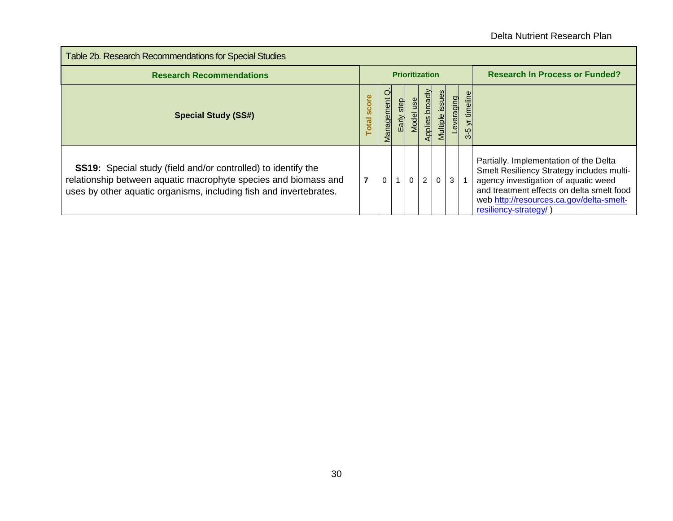| Table 2b. Research Recommendations for Special Studies                                                                                                                                                        |                       |                       |               |              |                 |                                       |            |                           |                                                                                                                                                                                                                                               |
|---------------------------------------------------------------------------------------------------------------------------------------------------------------------------------------------------------------|-----------------------|-----------------------|---------------|--------------|-----------------|---------------------------------------|------------|---------------------------|-----------------------------------------------------------------------------------------------------------------------------------------------------------------------------------------------------------------------------------------------|
| <b>Research Recommendations</b>                                                                                                                                                                               | <b>Prioritization</b> |                       |               |              |                 | <b>Research In Process or Funded?</b> |            |                           |                                                                                                                                                                                                                                               |
| <b>Special Study (SS#)</b>                                                                                                                                                                                    | score<br>Total        | <u>anagement</u><br>⋝ | step<br>Early | <b>Model</b> | Applies broadly | <b>Multiple issue</b>                 | Leveraging | timelin<br>ယူ<br>$\infty$ |                                                                                                                                                                                                                                               |
| <b>SS19:</b> Special study (field and/or controlled) to identify the<br>relationship between aquatic macrophyte species and biomass and<br>uses by other aquatic organisms, including fish and invertebrates. | $\overline{7}$        |                       |               |              | $\overline{2}$  |                                       | 3          | $\overline{1}$            | Partially. Implementation of the Delta<br>Smelt Resiliency Strategy includes multi-<br>agency investigation of aquatic weed<br>and treatment effects on delta smelt food<br>web http://resources.ca.gov/delta-smelt-<br>resiliency-strategy/) |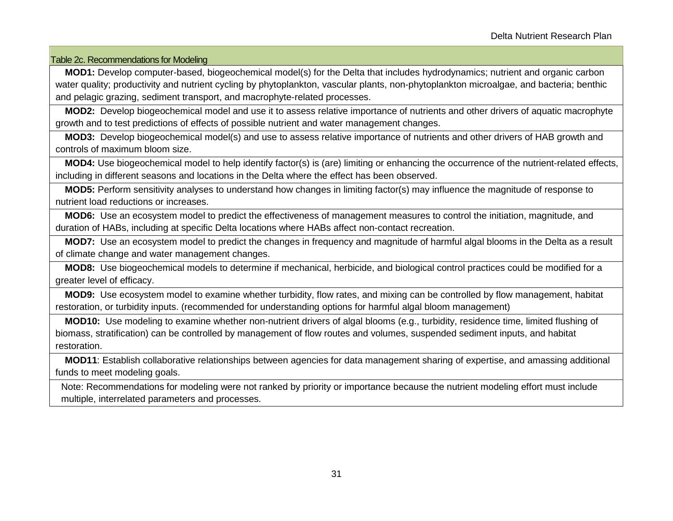### Table 2c. Recommendations for Modeling

**MOD1:** Develop computer-based, biogeochemical model(s) for the Delta that includes hydrodynamics; nutrient and organic carbon water quality; productivity and nutrient cycling by phytoplankton, vascular plants, non-phytoplankton microalgae, and bacteria; benthic and pelagic grazing, sediment transport, and macrophyte-related processes.

 growth and to test predictions of effects of possible nutrient and water management changes. **MOD2:** Develop biogeochemical model and use it to assess relative importance of nutrients and other drivers of aquatic macrophyte

 controls of maximum bloom size. **MOD3:** Develop biogeochemical model(s) and use to assess relative importance of nutrients and other drivers of HAB growth and

**MOD4:** Use biogeochemical model to help identify factor(s) is (are) limiting or enhancing the occurrence of the nutrient-related effects, including in different seasons and locations in the Delta where the effect has been observed.

**MOD5:** Perform sensitivity analyses to understand how changes in limiting factor(s) may influence the magnitude of response to nutrient load reductions or increases.

<span id="page-34-0"></span> **MOD6:** Use an ecosystem model to predict the effectiveness of management measures to control the initiation, magnitude, and duration of HABs, including at specific Delta locations where HABs affect non-contact recreation.

 **MOD7:** Use an ecosystem model to predict the changes in frequency and magnitude of harmful algal blooms in the Delta as a result of climate change and water management changes.

**MOD8:** Use biogeochemical models to determine if mechanical, herbicide, and biological control practices could be modified for a greater level of efficacy.

 **MOD9:** Use ecosystem model to examine whether turbidity, flow rates, and mixing can be controlled by flow management, habitat restoration, or turbidity inputs. (recommended for understanding options for harmful algal bloom management)

 restoration. **MOD10:** Use modeling to examine whether non-nutrient drivers of algal blooms (e.g., turbidity, residence time, limited flushing of biomass, stratification) can be controlled by management of flow routes and volumes, suspended sediment inputs, and habitat

 **MOD11**: Establish collaborative relationships between agencies for data management sharing of expertise, and amassing additional funds to meet modeling goals.

 Note: Recommendations for modeling were not ranked by priority or importance because the nutrient modeling effort must include multiple, interrelated parameters and processes.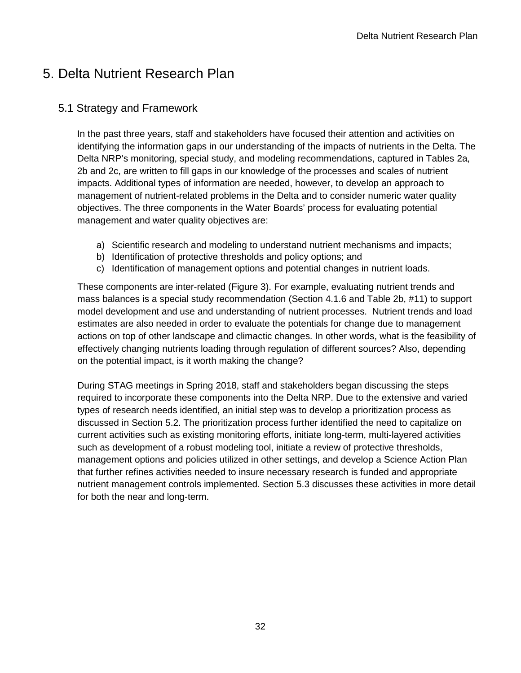# <span id="page-35-0"></span>5. Delta Nutrient Research Plan

## <span id="page-35-1"></span>5.1 Strategy and Framework

 identifying the information gaps in our understanding of the impacts of nutrients in the Delta. The 2b and 2c, are written to fill gaps in our knowledge of the processes and scales of nutrient management of nutrient-related problems in the Delta and to consider numeric water quality In the past three years, staff and stakeholders have focused their attention and activities on Delta NRP's monitoring, special study, and modeling recommendations, captured in Tables 2a, impacts. Additional types of information are needed, however, to develop an approach to objectives. The three components in the Water Boards' process for evaluating potential management and water quality objectives are:

- a) Scientific research and modeling to understand nutrient mechanisms and impacts;
- b) Identification of protective thresholds and policy options; and
- c) Identification of management options and potential changes in nutrient loads.

 model development and use and understanding of nutrient processes. Nutrient trends and load actions on top of other landscape and climactic changes. In other words, what is the feasibility of These components are inter-related (Figure 3). For example, evaluating nutrient trends and mass balances is a special study recommendation (Section 4.1.6 and Table 2b, #11) to support estimates are also needed in order to evaluate the potentials for change due to management effectively changing nutrients loading through regulation of different sources? Also, depending on the potential impact, is it worth making the change?

 required to incorporate these components into the Delta NRP. Due to the extensive and varied such as development of a robust modeling tool, initiate a review of protective thresholds, that further refines activities needed to insure necessary research is funded and appropriate nutrient management controls implemented. Section 5.3 discusses these activities in more detail During STAG meetings in Spring 2018, staff and stakeholders began discussing the steps types of research needs identified, an initial step was to develop a prioritization process as discussed in Section 5.2. The prioritization process further identified the need to capitalize on current activities such as existing monitoring efforts, initiate long-term, multi-layered activities management options and policies utilized in other settings, and develop a Science Action Plan for both the near and long-term.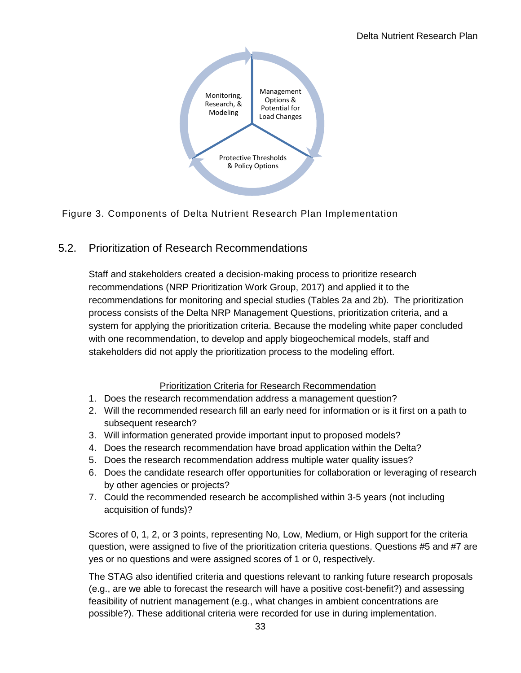

<span id="page-36-1"></span>Figure 3. Components of Delta Nutrient Research Plan Implementation

# <span id="page-36-0"></span>5.2. Prioritization of Research Recommendations

 recommendations (NRP Prioritization Work Group, 2017) and applied it to the process consists of the Delta NRP Management Questions, prioritization criteria, and a Staff and stakeholders created a decision-making process to prioritize research recommendations for monitoring and special studies (Tables 2a and 2b). The prioritization system for applying the prioritization criteria. Because the modeling white paper concluded with one recommendation, to develop and apply biogeochemical models, staff and stakeholders did not apply the prioritization process to the modeling effort.

### Prioritization Criteria for Research Recommendation

- 1. Does the research recommendation address a management question?
- 2. Will the recommended research fill an early need for information or is it first on a path to subsequent research?
- 3. Will information generated provide important input to proposed models?
- 4. Does the research recommendation have broad application within the Delta?
- 5. Does the research recommendation address multiple water quality issues?
- 6. Does the candidate research offer opportunities for collaboration or leveraging of research by other agencies or projects?
- 7. Could the recommended research be accomplished within 3-5 years (not including acquisition of funds)?

 Scores of 0, 1, 2, or 3 points, representing No, Low, Medium, or High support for the criteria question, were assigned to five of the prioritization criteria questions. Questions #5 and #7 are yes or no questions and were assigned scores of 1 or 0, respectively.

 possible?). These additional criteria were recorded for use in during implementation. 33 The STAG also identified criteria and questions relevant to ranking future research proposals (e.g., are we able to forecast the research will have a positive cost-benefit?) and assessing feasibility of nutrient management (e.g., what changes in ambient concentrations are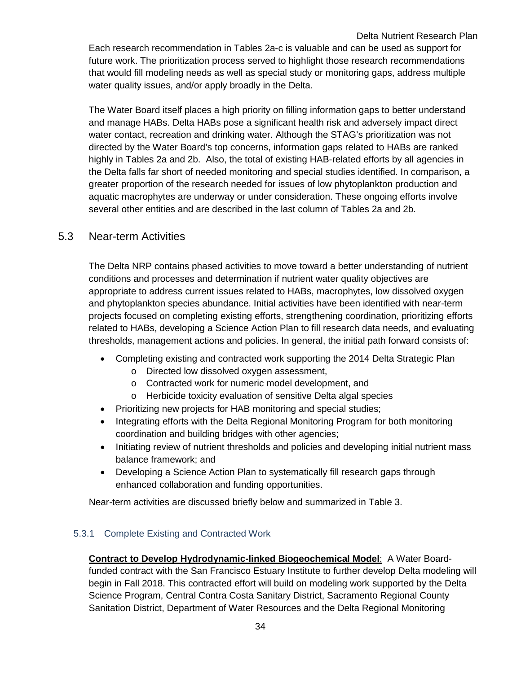Each research recommendation in Tables 2a-c is valuable and can be used as support for future work. The prioritization process served to highlight those research recommendations that would fill modeling needs as well as special study or monitoring gaps, address multiple Delta Nutrient Research Plan water quality issues, and/or apply broadly in the Delta.

 The Water Board itself places a high priority on filling information gaps to better understand several other entities and are described in the last column of Tables 2a and 2b. and manage HABs. Delta HABs pose a significant health risk and adversely impact direct water contact, recreation and drinking water. Although the STAG's prioritization was not directed by the Water Board's top concerns, information gaps related to HABs are ranked highly in Tables 2a and 2b. Also, the total of existing HAB-related efforts by all agencies in the Delta falls far short of needed monitoring and special studies identified. In comparison, a greater proportion of the research needed for issues of low phytoplankton production and aquatic macrophytes are underway or under consideration. These ongoing efforts involve

### <span id="page-37-0"></span>5.3 Near-term Activities

 conditions and processes and determination if nutrient water quality objectives are thresholds, management actions and policies. In general, the initial path forward consists of: The Delta NRP contains phased activities to move toward a better understanding of nutrient appropriate to address current issues related to HABs, macrophytes, low dissolved oxygen and phytoplankton species abundance. Initial activities have been identified with near-term projects focused on completing existing efforts, strengthening coordination, prioritizing efforts related to HABs, developing a Science Action Plan to fill research data needs, and evaluating

- Completing existing and contracted work supporting the 2014 Delta Strategic Plan
	- o Directed low dissolved oxygen assessment,
	- o Contracted work for numeric model development, and
	- o Herbicide toxicity evaluation of sensitive Delta algal species
- Prioritizing new projects for HAB monitoring and special studies;
- Integrating efforts with the Delta Regional Monitoring Program for both monitoring coordination and building bridges with other agencies;
- Initiating review of nutrient thresholds and policies and developing initial nutrient mass balance framework; and
- • Developing a Science Action Plan to systematically fill research gaps through enhanced collaboration and funding opportunities.

Near-term activities are discussed briefly below and summarized in Table 3.

### 5.3.1 Complete Existing and Contracted Work

 **Contract to Develop Hydrodynamic-linked Biogeochemical Model**: A Water Boardfunded contract with the San Francisco Estuary Institute to further develop Delta modeling will begin in Fall 2018. This contracted effort will build on modeling work supported by the Delta Science Program, Central Contra Costa Sanitary District, Sacramento Regional County Sanitation District, Department of Water Resources and the Delta Regional Monitoring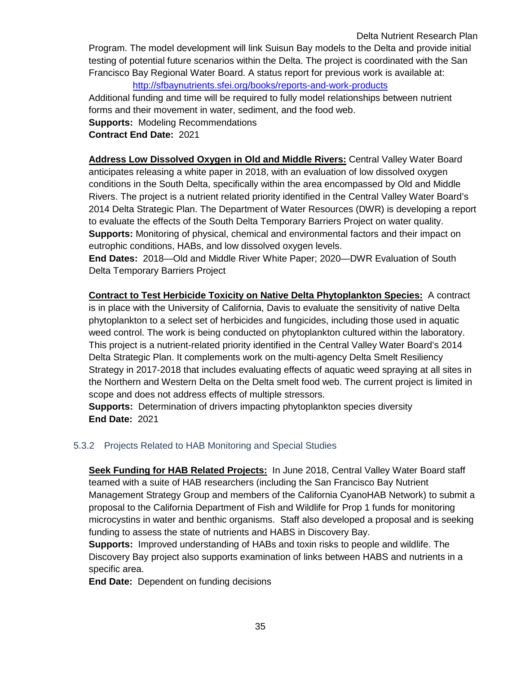Delta Nutrient Research Plan

 Program. The model development will link Suisun Bay models to the Delta and provide initial testing of potential future scenarios within the Delta. The project is coordinated with the San Francisco Bay Regional Water Board. A status report for previous work is available at:

<http://sfbaynutrients.sfei.org/books/reports-and-work-products>

 forms and their movement in water, sediment, and the food web. **Supports:** Modeling Recommendations Additional funding and time will be required to fully model relationships between nutrient

### **Contract End Date:** 2021

 2014 Delta Strategic Plan. The Department of Water Resources (DWR) is developing a report to evaluate the effects of the South Delta Temporary Barriers Project on water quality. **Address Low Dissolved Oxygen in Old and Middle Rivers:** Central Valley Water Board anticipates releasing a white paper in 2018, with an evaluation of low dissolved oxygen conditions in the South Delta, specifically within the area encompassed by Old and Middle Rivers. The project is a nutrient related priority identified in the Central Valley Water Board's **Supports:** Monitoring of physical, chemical and environmental factors and their impact on eutrophic conditions, HABs, and low dissolved oxygen levels.

 **End Dates:** 2018—Old and Middle River White Paper; 2020—DWR Evaluation of South Delta Temporary Barriers Project

 **Contract to Test Herbicide Toxicity on Native Delta Phytoplankton Species:** A contract the Northern and Western Delta on the Delta smelt food web. The current project is limited in is in place with the University of California, Davis to evaluate the sensitivity of native Delta phytoplankton to a select set of herbicides and fungicides, including those used in aquatic weed control. The work is being conducted on phytoplankton cultured within the laboratory. This project is a nutrient-related priority identified in the Central Valley Water Board's 2014 Delta Strategic Plan. It complements work on the multi-agency Delta Smelt Resiliency Strategy in 2017-2018 that includes evaluating effects of aquatic weed spraying at all sites in scope and does not address effects of multiple stressors.

 **Supports:** Determination of drivers impacting phytoplankton species diversity **End Date:** 2021

### 5.3.2 Projects Related to HAB Monitoring and Special Studies

 **Seek Funding for HAB Related Projects:** In June 2018, Central Valley Water Board staff Management Strategy Group and members of the California CyanoHAB Network) to submit a funding to assess the state of nutrients and HABS in Discovery Bay. teamed with a suite of HAB researchers (including the San Francisco Bay Nutrient proposal to the California Department of Fish and Wildlife for Prop 1 funds for monitoring microcystins in water and benthic organisms. Staff also developed a proposal and is seeking

 **Supports:** Improved understanding of HABs and toxin risks to people and wildlife. The Discovery Bay project also supports examination of links between HABS and nutrients in a specific area.

**End Date:** Dependent on funding decisions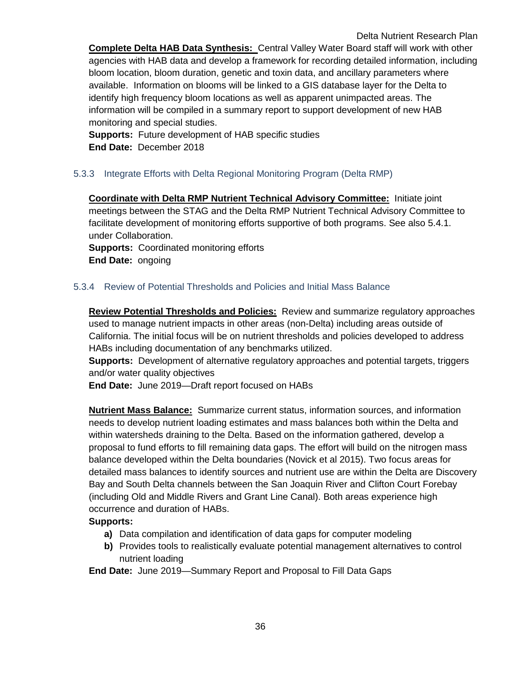**Complete Delta HAB Data Synthesis:** Central Valley Water Board staff will work with other agencies with HAB data and develop a framework for recording detailed information, including Delta Nutrient Research Plan bloom location, bloom duration, genetic and toxin data, and ancillary parameters where available. Information on blooms will be linked to a GIS database layer for the Delta to identify high frequency bloom locations as well as apparent unimpacted areas. The information will be compiled in a summary report to support development of new HAB monitoring and special studies.

 **Supports:** Future development of HAB specific studies **End Date:** December 2018

### 5.3.3 Integrate Efforts with Delta Regional Monitoring Program (Delta RMP)

 **Coordinate with Delta RMP Nutrient Technical Advisory Committee:** Initiate joint meetings between the STAG and the Delta RMP Nutrient Technical Advisory Committee to facilitate development of monitoring efforts supportive of both programs. See also 5.4.1. under Collaboration.

 **Supports:** Coordinated monitoring efforts **End Date:** ongoing

### 5.3.4 Review of Potential Thresholds and Policies and Initial Mass Balance

 **Review Potential Thresholds and Policies:** Review and summarize regulatory approaches used to manage nutrient impacts in other areas (non-Delta) including areas outside of California. The initial focus will be on nutrient thresholds and policies developed to address HABs including documentation of any benchmarks utilized.

 **Supports:** Development of alternative regulatory approaches and potential targets, triggers and/or water quality objectives

**End Date:** June 2019—Draft report focused on HABs

 **Nutrient Mass Balance:** Summarize current status, information sources, and information proposal to fund efforts to fill remaining data gaps. The effort will build on the nitrogen mass balance developed within the Delta boundaries (Novick et al 2015). Two focus areas for detailed mass balances to identify sources and nutrient use are within the Delta are Discovery needs to develop nutrient loading estimates and mass balances both within the Delta and within watersheds draining to the Delta. Based on the information gathered, develop a Bay and South Delta channels between the San Joaquin River and Clifton Court Forebay (including Old and Middle Rivers and Grant Line Canal). Both areas experience high occurrence and duration of HABs.

### **Supports:**

- **a)** Data compilation and identification of data gaps for computer modeling
- nutrient loading **b)** Provides tools to realistically evaluate potential management alternatives to control

 **End Date:** June 2019—Summary Report and Proposal to Fill Data Gaps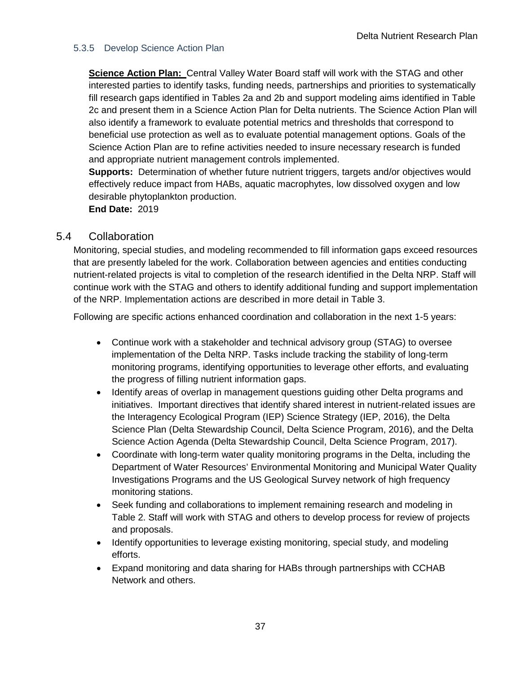### 5.3.5 Develop Science Action Plan

 **Science Action Plan:** Central Valley Water Board staff will work with the STAG and other interested parties to identify tasks, funding needs, partnerships and priorities to systematically fill research gaps identified in Tables 2a and 2b and support modeling aims identified in Table 2c and present them in a Science Action Plan for Delta nutrients. The Science Action Plan will also identify a framework to evaluate potential metrics and thresholds that correspond to beneficial use protection as well as to evaluate potential management options. Goals of the Science Action Plan are to refine activities needed to insure necessary research is funded and appropriate nutrient management controls implemented.

 **Supports:** Determination of whether future nutrient triggers, targets and/or objectives would effectively reduce impact from HABs, aquatic macrophytes, low dissolved oxygen and low desirable phytoplankton production.

**End Date:** 2019

### <span id="page-40-0"></span>5.4 Collaboration

 Monitoring, special studies, and modeling recommended to fill information gaps exceed resources continue work with the STAG and others to identify additional funding and support implementation of the NRP. Implementation actions are described in more detail in Table 3. that are presently labeled for the work. Collaboration between agencies and entities conducting nutrient-related projects is vital to completion of the research identified in the Delta NRP. Staff will

Following are specific actions enhanced coordination and collaboration in the next 1-5 years:

- • Continue work with a stakeholder and technical advisory group (STAG) to oversee implementation of the Delta NRP. Tasks include tracking the stability of long-term monitoring programs, identifying opportunities to leverage other efforts, and evaluating the progress of filling nutrient information gaps.
- Identify areas of overlap in management questions guiding other Delta programs and initiatives. Important directives that identify shared interest in nutrient-related issues are the Interagency Ecological Program (IEP) Science Strategy (IEP, 2016), the Delta Science Plan (Delta Stewardship Council, Delta Science Program, 2016), and the Delta Science Action Agenda (Delta Stewardship Council, Delta Science Program, 2017).
- • Coordinate with long-term water quality monitoring programs in the Delta, including the Department of Water Resources' Environmental Monitoring and Municipal Water Quality Investigations Programs and the US Geological Survey network of high frequency monitoring stations.
- Table 2. Staff will work with STAG and others to develop process for review of projects and proposals. • Seek funding and collaborations to implement remaining research and modeling in
- efforts. • Identify opportunities to leverage existing monitoring, special study, and modeling
- Expand monitoring and data sharing for HABs through partnerships with CCHAB Network and others.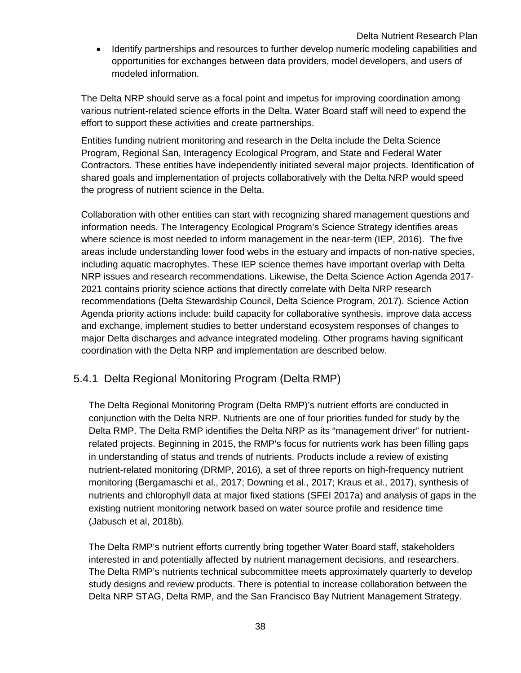• Identify partnerships and resources to further develop numeric modeling capabilities and opportunities for exchanges between data providers, model developers, and users of modeled information.

effort to support these activities and create partnerships. The Delta NRP should serve as a focal point and impetus for improving coordination among various nutrient-related science efforts in the Delta. Water Board staff will need to expend the

 Program, Regional San, Interagency Ecological Program, and State and Federal Water Contractors. These entities have independently initiated several major projects. Identification of the progress of nutrient science in the Delta. Entities funding nutrient monitoring and research in the Delta include the Delta Science shared goals and implementation of projects collaboratively with the Delta NRP would speed

 Collaboration with other entities can start with recognizing shared management questions and where science is most needed to inform management in the near-term (IEP, 2016). The five information needs. The Interagency Ecological Program's Science Strategy identifies areas areas include understanding lower food webs in the estuary and impacts of non-native species, including aquatic macrophytes. These IEP science themes have important overlap with Delta NRP issues and research recommendations. Likewise, the Delta Science Action Agenda 2017- 2021 contains priority science actions that directly correlate with Delta NRP research recommendations (Delta Stewardship Council, Delta Science Program, 2017). Science Action Agenda priority actions include: build capacity for collaborative synthesis, improve data access and exchange, implement studies to better understand ecosystem responses of changes to major Delta discharges and advance integrated modeling. Other programs having significant coordination with the Delta NRP and implementation are described below.

## <span id="page-41-0"></span>5.4.1 Delta Regional Monitoring Program (Delta RMP)

 conjunction with the Delta NRP. Nutrients are one of four priorities funded for study by the Delta RMP. The Delta RMP identifies the Delta NRP as its "management driver" for nutrient- nutrients and chlorophyll data at major fixed stations (SFEI 2017a) and analysis of gaps in the The Delta Regional Monitoring Program (Delta RMP)'s nutrient efforts are conducted in related projects. Beginning in 2015, the RMP's focus for nutrients work has been filling gaps in understanding of status and trends of nutrients. Products include a review of existing nutrient-related monitoring (DRMP, 2016), a set of three reports on high-frequency nutrient monitoring (Bergamaschi et al., 2017; Downing et al., 2017; Kraus et al., 2017), synthesis of existing nutrient monitoring network based on water source profile and residence time (Jabusch et al, 2018b).

 Delta NRP STAG, Delta RMP, and the San Francisco Bay Nutrient Management Strategy. 38 The Delta RMP's nutrient efforts currently bring together Water Board staff, stakeholders interested in and potentially affected by nutrient management decisions, and researchers. The Delta RMP's nutrients technical subcommittee meets approximately quarterly to develop study designs and review products. There is potential to increase collaboration between the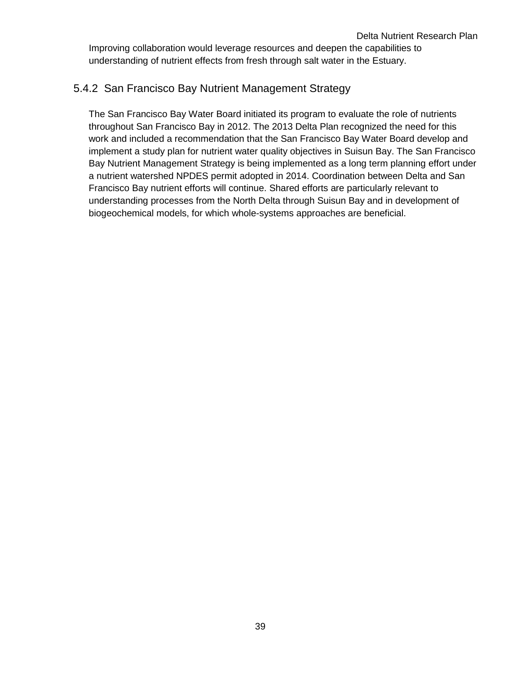understanding of nutrient effects from fresh through salt water in the Estuary. Improving collaboration would leverage resources and deepen the capabilities to

## <span id="page-42-0"></span>5.4.2 San Francisco Bay Nutrient Management Strategy

 The San Francisco Bay Water Board initiated its program to evaluate the role of nutrients Bay Nutrient Management Strategy is being implemented as a long term planning effort under Francisco Bay nutrient efforts will continue. Shared efforts are particularly relevant to understanding processes from the North Delta through Suisun Bay and in development of throughout San Francisco Bay in 2012. The 2013 Delta Plan recognized the need for this work and included a recommendation that the San Francisco Bay Water Board develop and implement a study plan for nutrient water quality objectives in Suisun Bay. The San Francisco a nutrient watershed NPDES permit adopted in 2014. Coordination between Delta and San biogeochemical models, for which whole-systems approaches are beneficial.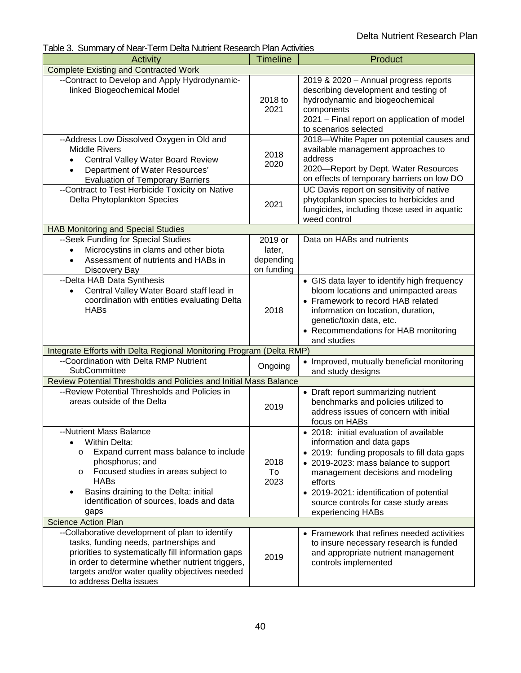<span id="page-43-0"></span>Table 3. Summary of Near-Term Delta Nutrient Research Plan Activities

| <b>Activity</b>                                                                                                                                                                                                                                                                                                     | <b>Timeline</b>                              | Product                                                                                                                                                                                                                                                                                                              |
|---------------------------------------------------------------------------------------------------------------------------------------------------------------------------------------------------------------------------------------------------------------------------------------------------------------------|----------------------------------------------|----------------------------------------------------------------------------------------------------------------------------------------------------------------------------------------------------------------------------------------------------------------------------------------------------------------------|
| <b>Complete Existing and Contracted Work</b>                                                                                                                                                                                                                                                                        |                                              |                                                                                                                                                                                                                                                                                                                      |
| --Contract to Develop and Apply Hydrodynamic-<br>linked Biogeochemical Model                                                                                                                                                                                                                                        | 2018 to<br>2021                              | 2019 & 2020 - Annual progress reports<br>describing development and testing of<br>hydrodynamic and biogeochemical<br>components<br>2021 – Final report on application of model<br>to scenarios selected                                                                                                              |
| --Address Low Dissolved Oxygen in Old and<br><b>Middle Rivers</b><br>Central Valley Water Board Review<br>Department of Water Resources'<br><b>Evaluation of Temporary Barriers</b>                                                                                                                                 | 2018<br>2020                                 | 2018-White Paper on potential causes and<br>available management approaches to<br>address<br>2020-Report by Dept. Water Resources<br>on effects of temporary barriers on low DO                                                                                                                                      |
| --Contract to Test Herbicide Toxicity on Native<br>Delta Phytoplankton Species                                                                                                                                                                                                                                      | 2021                                         | UC Davis report on sensitivity of native<br>phytoplankton species to herbicides and<br>fungicides, including those used in aquatic<br>weed control                                                                                                                                                                   |
| <b>HAB Monitoring and Special Studies</b>                                                                                                                                                                                                                                                                           |                                              |                                                                                                                                                                                                                                                                                                                      |
| --Seek Funding for Special Studies<br>Microcystins in clams and other biota<br>$\bullet$<br>Assessment of nutrients and HABs in<br>$\bullet$<br>Discovery Bay                                                                                                                                                       | 2019 or<br>later,<br>depending<br>on funding | Data on HABs and nutrients                                                                                                                                                                                                                                                                                           |
| --Delta HAB Data Synthesis<br>Central Valley Water Board staff lead in<br>$\bullet$<br>coordination with entities evaluating Delta<br><b>HABs</b>                                                                                                                                                                   | 2018                                         | • GIS data layer to identify high frequency<br>bloom locations and unimpacted areas<br>• Framework to record HAB related<br>information on location, duration,<br>genetic/toxin data, etc.<br>• Recommendations for HAB monitoring<br>and studies                                                                    |
| Integrate Efforts with Delta Regional Monitoring Program (Delta RMP)                                                                                                                                                                                                                                                |                                              |                                                                                                                                                                                                                                                                                                                      |
| --Coordination with Delta RMP Nutrient<br>SubCommittee                                                                                                                                                                                                                                                              | Ongoing                                      | • Improved, mutually beneficial monitoring<br>and study designs                                                                                                                                                                                                                                                      |
| Review Potential Thresholds and Policies and Initial Mass Balance                                                                                                                                                                                                                                                   |                                              |                                                                                                                                                                                                                                                                                                                      |
| --Review Potential Thresholds and Policies in<br>areas outside of the Delta                                                                                                                                                                                                                                         | 2019                                         | • Draft report summarizing nutrient<br>benchmarks and policies utilized to<br>address issues of concern with initial<br>focus on HABs                                                                                                                                                                                |
| --Nutrient Mass Balance<br>Within Delta:<br>٠<br>Expand current mass balance to include<br>O<br>phosphorus; and<br>Focused studies in areas subject to<br>O<br><b>HABs</b><br>Basins draining to the Delta: initial<br>$\bullet$<br>identification of sources, loads and data<br>gaps<br><b>Science Action Plan</b> | 2018<br>To<br>2023                           | • 2018: initial evaluation of available<br>information and data gaps<br>• 2019: funding proposals to fill data gaps<br>• 2019-2023: mass balance to support<br>management decisions and modeling<br>efforts<br>• 2019-2021: identification of potential<br>source controls for case study areas<br>experiencing HABs |
| --Collaborative development of plan to identify<br>tasks, funding needs, partnerships and<br>priorities to systematically fill information gaps<br>in order to determine whether nutrient triggers,<br>targets and/or water quality objectives needed<br>to address Delta issues                                    | 2019                                         | • Framework that refines needed activities<br>to insure necessary research is funded<br>and appropriate nutrient management<br>controls implemented                                                                                                                                                                  |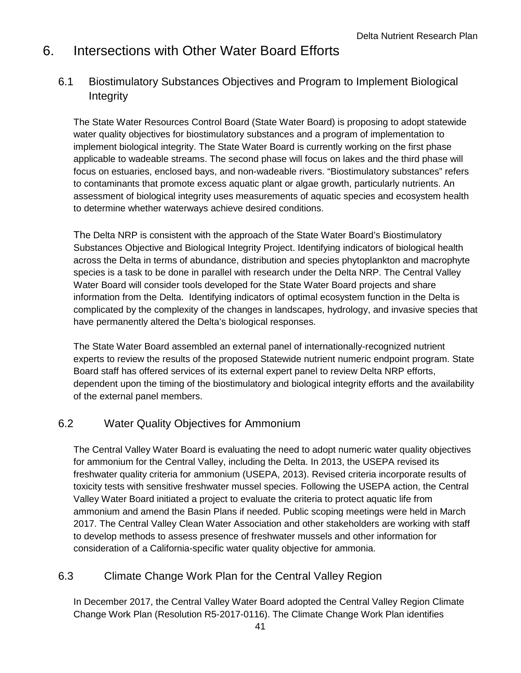# <span id="page-44-0"></span>6. Intersections with Other Water Board Efforts

## <span id="page-44-1"></span>6.1 Biostimulatory Substances Objectives and Program to Implement Biological Integrity

The State Water Resources Control Board (State Water Board) is proposing to adopt statewide water quality objectives for biostimulatory substances and a program of implementation to implement biological integrity. The State Water Board is currently working on the first phase applicable to wadeable streams. The second phase will focus on lakes and the third phase will focus on estuaries, enclosed bays, and non-wadeable rivers. "Biostimulatory substances" refers to contaminants that promote excess aquatic plant or algae growth, particularly nutrients. An assessment of biological integrity uses measurements of aquatic species and ecosystem health to determine whether waterways achieve desired conditions.

 information from the Delta. Identifying indicators of optimal ecosystem function in the Delta is have permanently altered the Delta's biological responses. The Delta NRP is consistent with the approach of the State Water Board's Biostimulatory Substances Objective and Biological Integrity Project. Identifying indicators of biological health across the Delta in terms of abundance, distribution and species phytoplankton and macrophyte species is a task to be done in parallel with research under the Delta NRP. The Central Valley Water Board will consider tools developed for the State Water Board projects and share complicated by the complexity of the changes in landscapes, hydrology, and invasive species that

of the external panel members. The State Water Board assembled an external panel of internationally-recognized nutrient experts to review the results of the proposed Statewide nutrient numeric endpoint program. State Board staff has offered services of its external expert panel to review Delta NRP efforts, dependent upon the timing of the biostimulatory and biological integrity efforts and the availability

## <span id="page-44-2"></span>6.2 Water Quality Objectives for Ammonium

 freshwater quality criteria for ammonium (USEPA, 2013). Revised criteria incorporate results of to develop methods to assess presence of freshwater mussels and other information for The Central Valley Water Board is evaluating the need to adopt numeric water quality objectives for ammonium for the Central Valley, including the Delta. In 2013, the USEPA revised its toxicity tests with sensitive freshwater mussel species. Following the USEPA action, the Central Valley Water Board initiated a project to evaluate the criteria to protect aquatic life from ammonium and amend the Basin Plans if needed. Public scoping meetings were held in March 2017. The Central Valley Clean Water Association and other stakeholders are working with staff consideration of a California-specific water quality objective for ammonia.

## <span id="page-44-3"></span>6.3 Climate Change Work Plan for the Central Valley Region

In December 2017, the Central Valley Water Board adopted the Central Valley Region Climate Change Work Plan (Resolution R5-2017-0116). The Climate Change Work Plan identifies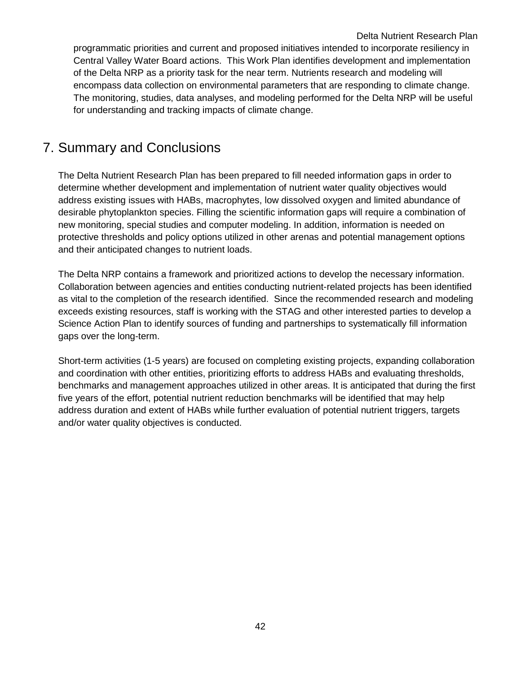Central Valley Water Board actions. This Work Plan identifies development and implementation Delta Nutrient Research Plan programmatic priorities and current and proposed initiatives intended to incorporate resiliency in of the Delta NRP as a priority task for the near term. Nutrients research and modeling will encompass data collection on environmental parameters that are responding to climate change. The monitoring, studies, data analyses, and modeling performed for the Delta NRP will be useful for understanding and tracking impacts of climate change.

# <span id="page-45-0"></span>7. Summary and Conclusions

 The Delta Nutrient Research Plan has been prepared to fill needed information gaps in order to address existing issues with HABs, macrophytes, low dissolved oxygen and limited abundance of new monitoring, special studies and computer modeling. In addition, information is needed on determine whether development and implementation of nutrient water quality objectives would desirable phytoplankton species. Filling the scientific information gaps will require a combination of protective thresholds and policy options utilized in other arenas and potential management options and their anticipated changes to nutrient loads.

The Delta NRP contains a framework and prioritized actions to develop the necessary information. Collaboration between agencies and entities conducting nutrient-related projects has been identified as vital to the completion of the research identified. Since the recommended research and modeling exceeds existing resources, staff is working with the STAG and other interested parties to develop a Science Action Plan to identify sources of funding and partnerships to systematically fill information gaps over the long-term.

 and coordination with other entities, prioritizing efforts to address HABs and evaluating thresholds, benchmarks and management approaches utilized in other areas. It is anticipated that during the first five years of the effort, potential nutrient reduction benchmarks will be identified that may help address duration and extent of HABs while further evaluation of potential nutrient triggers, targets Short-term activities (1-5 years) are focused on completing existing projects, expanding collaboration and/or water quality objectives is conducted.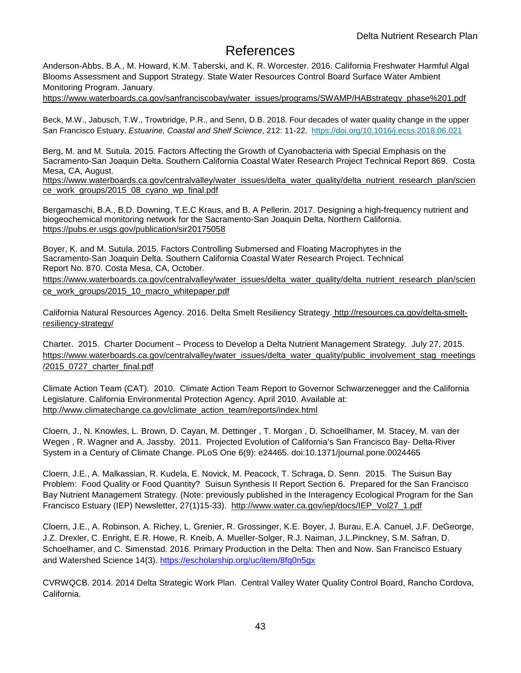# References

<span id="page-46-0"></span> Blooms Assessment and Support Strategy. State Water Resources Control Board Surface Water Ambient Anderson-Abbs, B.A., M. Howard, K.M. Taberski, and K. R. Worcester. 2016. California Freshwater Harmful Algal Monitoring Program. January.

https://www.waterboards.ca.gov/sanfranciscobay/water\_issues/programs/SWAMP/HABstrategy\_phase%201.pdf

 Beck, M.W., Jabusch, T.W., Trowbridge, P.R., and Senn, D.B. 2018. Four decades of water quality change in the upper  San Francisco Estuary. *Estuarine, Coastal and Shelf Science*, 212: 11-22.<https://doi.org/10.1016/j.ecss.2018.06.021>

 Berg, M. and M. Sutula. 2015. Factors Affecting the Growth of Cyanobacteria with Special Emphasis on the Sacramento-San Joaquin Delta. Southern California Coastal Water Research Project Technical Report 869. Costa Mesa, CA, August.

https://www.waterboards.ca.gov/centralvalley/water\_issues/delta\_water\_quality/delta\_nutrient\_research\_plan/scien [ce\\_work\\_groups/2015\\_08\\_cyano\\_wp\\_final.pdf](https://www.waterboards.ca.gov/centralvalley/water_issues/delta_water_quality/delta_nutrient_research_plan/science_work_groups/2015_08_cyano_wp_final.pdf) 

Bergamaschi, B.A., B.D. Downing, T.E.C Kraus, and B. A Pellerin. 2017. Designing a high-frequency nutrient and biogeochemical monitoring network for the Sacramento-San Joaquin Delta, Northern California. <https://pubs.er.usgs.gov/publication/sir20175058>

Boyer, K. and M. Sutula. 2015. Factors Controlling Submersed and Floating Macrophytes in the Sacramento-San Joaquin Delta. Southern California Coastal Water Research Project. Technical Report No. 870. Costa Mesa, CA, October.

https://www.waterboards.ca.gov/centralvalley/water\_issues/delta\_water\_quality/delta\_nutrient\_research\_plan/scien ce\_work\_groups/2015\_10\_macro\_whitepaper.pdf

California Natural Resources Agency. 2016. Delta Smelt Resiliency Strategy.<http://resources.ca.gov/delta-smelt>resiliency-strategy/

 Charter. 2015. Charter Document – Process to Develop a Delta Nutrient Management Strategy. July 27, 2015. https://www.waterboards.ca.gov/centralvalley/water\_issues/delta\_water\_quality/public\_involvement\_stag\_meetings /2015\_0727\_charter\_final.pdf

 Climate Action Team (CAT). 2010. Climate Action Team Report to Governor Schwarzenegger and the California Legislature. California Environmental Protection Agency. April 2010. Available at: [http://www.climatechange.ca.gov/climate\\_action\\_team/reports/index.html](http://www.climatechange.ca.gov/climate_action_team/reports/index.html) 

 Cloern, J., N. Knowles, L. Brown, D. Cayan, M. Dettinger , T. Morgan , D. Schoellhamer, M. Stacey, M. van der Wegen , R. Wagner and A. Jassby. 2011. Projected Evolution of California's San Francisco Bay- Delta-River System in a Century of Climate Change. PLoS One 6(9): e24465. doi:10.1371/journal.pone.0024465

 Cloern, J.E., A. Malkassian, R. Kudela, E. Novick, M. Peacock, T. Schraga, D. Senn. 2015. The Suisun Bay Problem: Food Quality or Food Quantity? Suisun Synthesis II Report Section 6. Prepared for the San Francisco Francisco Estuary (IEP) Newsletter, 27(1)15-33). [http://www.water.ca.gov/iep/docs/IEP\\_Vol27\\_1.pdf](http://www.water.ca.gov/iep/docs/IEP_Vol27_1.pdf)  Bay Nutrient Management Strategy. (Note: previously published in the Interagency Ecological Program for the San

 Cloern, J.E., A. Robinson, A. Richey, L. Grenier, R. Grossinger, K.E. Boyer, J. Burau, E.A. Canuel, J.F. DeGeorge, J.Z. Drexler, C. Enright, E.R. Howe, R. Kneib, A. Mueller-Solger, R.J. Naiman, J.L.Pinckney, S.M. Safran, D. Schoelhamer, and C. Simenstad. 2016. Primary Production in the Delta: Then and Now. San Francisco Estuary and Watershed Science 14(3).<https://escholarship.org/uc/item/8fq0n5gx>

 CVRWQCB. 2014. 2014 Delta Strategic Work Plan. Central Valley Water Quality Control Board, Rancho Cordova, California. California. 43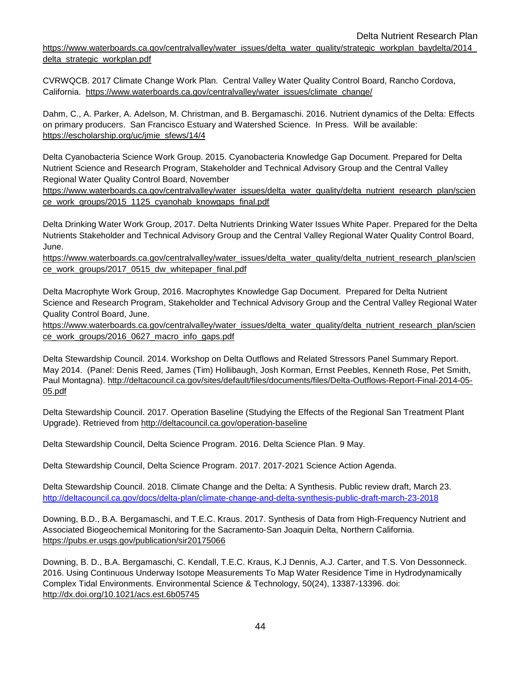[https://www.waterboards.ca.gov/centralvalley/water\\_issues/delta\\_water\\_quality/strategic\\_workplan\\_baydelta/2014\\_](https://www.waterboards.ca.gov/centralvalley/water_issues/delta_water_quality/strategic_workplan_baydelta/2014_delta_strategic_workplan.pdf)  delta strategic workplan.pdf

California. https://www.waterboards.ca.gov/centralvalley/water\_issues/climate\_change/ CVRWQCB. 2017 Climate Change Work Plan. Central Valley Water Quality Control Board, Rancho Cordova,

 Dahm, C., A. Parker, A. Adelson, M. Christman, and B. Bergamaschi. 2016. Nutrient dynamics of the Delta: Effects on primary producers. San Francisco Estuary and Watershed Science. In Press. Will be available: https://escholarship.org/uc/jmie\_sfews/14/4

Delta Cyanobacteria Science Work Group. 2015. Cyanobacteria Knowledge Gap Document. Prepared for Delta Nutrient Science and Research Program, Stakeholder and Technical Advisory Group and the Central Valley Regional Water Quality Control Board, November

https://www.waterboards.ca.gov/centralvalley/water\_issues/delta\_water\_quality/delta\_nutrient\_research\_plan/scien [ce\\_work\\_groups/2015\\_1125\\_cyanohab\\_knowgaps\\_final.pdf](https://www.waterboards.ca.gov/centralvalley/water_issues/delta_water_quality/delta_nutrient_research_plan/science_work_groups/2015_1125_cyanohab_knowgaps_final.pdf) 

 Delta Drinking Water Work Group, 2017. Delta Nutrients Drinking Water Issues White Paper. Prepared for the Delta Nutrients Stakeholder and Technical Advisory Group and the Central Valley Regional Water Quality Control Board, June.

https://www.waterboards.ca.gov/centralvalley/water\_issues/delta\_water\_quality/delta\_nutrient\_research\_plan/scien [ce\\_work\\_groups/2017\\_0515\\_dw\\_whitepaper\\_final.pdf](https://www.waterboards.ca.gov/centralvalley/water_issues/delta_water_quality/delta_nutrient_research_plan/science_work_groups/2017_0515_dw_whitepaper_final.pdf) 

 Science and Research Program, Stakeholder and Technical Advisory Group and the Central Valley Regional Water Quality Control Board, June. Delta Macrophyte Work Group, 2016. Macrophytes Knowledge Gap Document. Prepared for Delta Nutrient

ce work groups/2016 0627 macro info gaps.pdf https://www.waterboards.ca.gov/centralvalley/water\_issues/delta\_water\_quality/delta\_nutrient\_research\_plan/scien

Delta Stewardship Council. 2014. Workshop on Delta Outflows and Related Stressors Panel Summary Report. <u>ce\_work\_groups/2016\_0627\_macro\_info\_gaps.pdf</u><br>Delta Stewardship Council. 2014. Workshop on Delta Outflows and Related Stressors Panel Summary Report.<br>May 2014. (Panel: Denis Reed, James (Tim) Hollibaugh, Josh Korman, Ern Paul Montagna). [http://deltacouncil.ca.gov/sites/default/files/documents/files/Delta-Outflows-Report-Final-2014-05-](http://deltacouncil.ca.gov/sites/default/files/documents/files/Delta-Outflows-Report-Final-2014-05-05.pdf) [05.pdf](http://deltacouncil.ca.gov/sites/default/files/documents/files/Delta-Outflows-Report-Final-2014-05-05.pdf) 

Upgrade). Retrieved from http://deltacouncil.ca.gov/operation-baseline Delta Stewardship Council. 2017. Operation Baseline (Studying the Effects of the Regional San Treatment Plant

Upgrade). Retrieved from <u>http://deltacouncil.ca.gov/operation-baseline</u><br>Delta Stewardship Council, Delta Science Program. 2016. Delta Science Plan. 9 May.

Delta Stewardship Council, Delta Science Program. 2017. 2017-2021 Science Action Agenda.

Delta Stewardship Council. 2018. Climate Change and the Delta: A Synthesis. Public review draft, March 23. <http://deltacouncil.ca.gov/docs/delta-plan/climate-change-and-delta-synthesis-public-draft-march-23-2018>

https://pubs.er.usgs.gov/publication/sir20175066 Downing, B.D., B.A. Bergamaschi, and T.E.C. Kraus. 2017. Synthesis of Data from High-Frequency Nutrient and Associated Biogeochemical Monitoring for the Sacramento-San Joaquin Delta, Northern California.

<u>https://pubs.er.usgs.gov/publication/sir20175066</u><br>Downing, B. D., B.A. Bergamaschi, C. Kendall, T.E.C. Kraus, K.J Dennis, A.J. Carter, and T.S. Von Dessonneck. Complex Tidal Environments. Environmental Science & Technology, 50(24), 13387-13396. doi: 2016. Using Continuous Underway Isotope Measurements To Map Water Residence Time in Hydrodynamically <http://dx.doi.org/10.1021/acs.est.6b05745>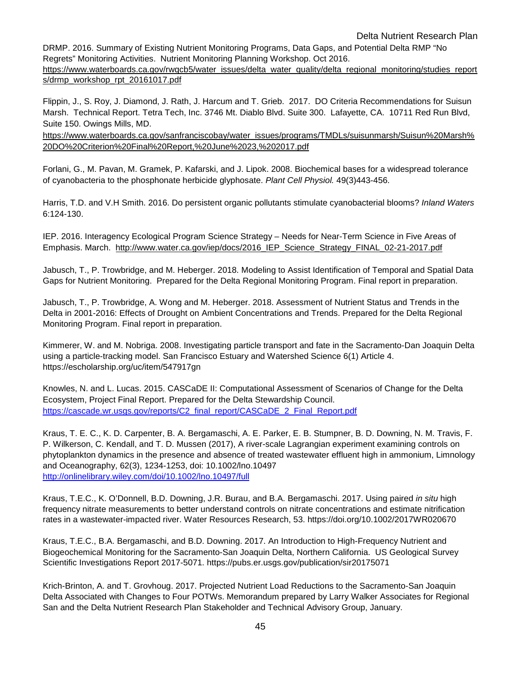DRMP. 2016. Summary of Existing Nutrient Monitoring Programs, Data Gaps, and Potential Delta RMP "No Regrets" Monitoring Activities. Nutrient Monitoring Planning Workshop. Oct 2016.

https://www.waterboards.ca.gov/rwgcb5/water\_issues/delta\_water\_quality/delta\_regional\_monitoring/studies\_report [s/drmp\\_workshop\\_rpt\\_20161017.pdf](https://www.waterboards.ca.gov/rwqcb5/water_issues/delta_water_quality/delta_regional_monitoring/studies_reports/drmp_workshop_rpt_20161017.pdf) 

 Flippin, J., S. Roy, J. Diamond, J. Rath, J. Harcum and T. Grieb. 2017. DO Criteria Recommendations for Suisun Marsh. Technical Report. Tetra Tech, Inc. 3746 Mt. Diablo Blvd. Suite 300. Lafayette, CA. 10711 Red Run Blvd, Suite 150. Owings Mills, MD.

[https://www.waterboards.ca.gov/sanfranciscobay/water\\_issues/programs/TMDLs/suisunmarsh/Suisun%20Marsh%](https://www.waterboards.ca.gov/sanfranciscobay/water_issues/programs/TMDLs/suisunmarsh/Suisun%20Marsh%20DO%20Criterion%20Final%20Report,%20June%2023,%202017.pdf)  [20DO%20Criterion%20Final%20Report,%20June%2023,%202017.pdf](https://www.waterboards.ca.gov/sanfranciscobay/water_issues/programs/TMDLs/suisunmarsh/Suisun%20Marsh%20DO%20Criterion%20Final%20Report,%20June%2023,%202017.pdf) 

 Forlani, G., M. Pavan, M. Gramek, P. Kafarski, and J. Lipok. 2008. Biochemical bases for a widespread tolerance of cyanobacteria to the phosphonate herbicide glyphosate. *Plant Cell Physiol.* 49(3)443-456.

Harris, T.D. and V.H Smith. 2016. Do persistent organic pollutants stimulate cyanobacterial blooms? *Inland Waters*  6:124-130.

 IEP. 2016. Interagency Ecological Program Science Strategy – Needs for Near-Term Science in Five Areas of Emphasis. March. [http://www.water.ca.gov/iep/docs/2016\\_IEP\\_Science\\_Strategy\\_FINAL\\_02-21-2017.pdf](http://www.water.ca.gov/iep/docs/2016_IEP_Science_Strategy_FINAL_02-21-2017.pdf) 

 Gaps for Nutrient Monitoring. Prepared for the Delta Regional Monitoring Program. Final report in preparation. Jabusch, T., P. Trowbridge, and M. Heberger. 2018. Modeling to Assist Identification of Temporal and Spatial Data

Jabusch, T., P. Trowbridge, A. Wong and M. Heberger. 2018. Assessment of Nutrient Status and Trends in the Delta in 2001-2016: Effects of Drought on Ambient Concentrations and Trends. Prepared for the Delta Regional Monitoring Program. Final report in preparation.

 Kimmerer, W. and M. Nobriga. 2008. Investigating particle transport and fate in the Sacramento-Dan Joaquin Delta using a particle-tracking model. San Francisco Estuary and Watershed Science 6(1) Article 4. <https://escholarship.org/uc/item/547917gn>

https://cascade.wr.usqs.gov/reports/C2 final report/CASCaDE 2 Final Report.pdf Knowles, N. and L. Lucas. 2015. CASCaDE II: Computational Assessment of Scenarios of Change for the Delta Ecosystem, Project Final Report. Prepared for the Delta Stewardship Council.

Kraus, T. E. C., K. D. Carpenter, B. A. Bergamaschi, A. E. Parker, E. B. Stumpner, B. D. Downing, N. M. Travis, F. P. Wilkerson, C. Kendall, and T. D. Mussen (2017), A river-scale Lagrangian experiment examining controls on phytoplankton dynamics in the presence and absence of treated wastewater effluent high in ammonium, Limnology and Oceanography, 62(3), 1234-1253, doi: 10.1002/lno.10497 <http://onlinelibrary.wiley.com/doi/10.1002/lno.10497/full>

rates in a wastewater-impacted river. Water Resources Research, 53. https://doi.org/10.1002/2017WR020670 Kraus, T.E.C., K. O'Donnell, B.D. Downing, J.R. Burau, and B.A. Bergamaschi. 2017. Using paired *in situ* high frequency nitrate measurements to better understand controls on nitrate concentrations and estimate nitrification

rates in a wastewater-impacted river. Water Resources Research, 53. https://doi.org/10.1002/2017WR020670<br>Kraus, T.E.C., B.A. Bergamaschi, and B.D. Downing. 2017. An Introduction to High-Frequency Nutrient and Scientific Investigations Report 2017-5071. https://pubs.er.usgs.gov/publication/sir20175071 Biogeochemical Monitoring for the Sacramento-San Joaquin Delta, Northern California. US Geological Survey

Krich-Brinton, A. and T. Grovhoug. 2017. Projected Nutrient Load Reductions to the Sacramento-San Joaquin Delta Associated with Changes to Four POTWs. Memorandum prepared by Larry Walker Associates for Regional San and the Delta Nutrient Research Plan Stakeholder and Technical Advisory Group, January.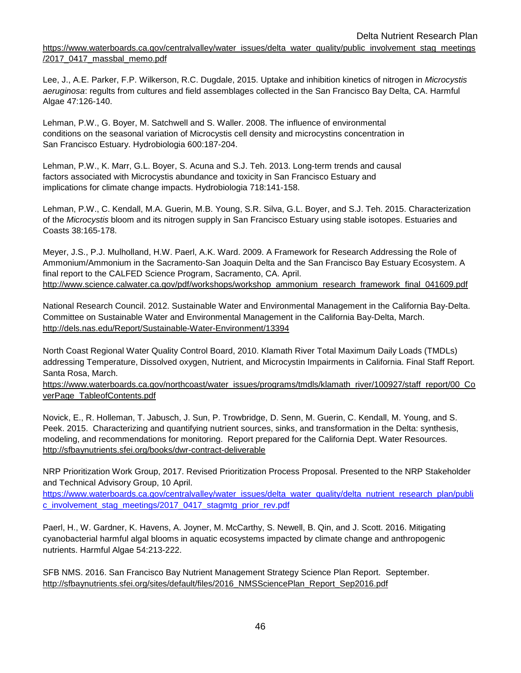[https://www.waterboards.ca.gov/centralvalley/water\\_issues/delta\\_water\\_quality/public\\_involvement\\_stag\\_meetings](https://www.waterboards.ca.gov/centralvalley/water_issues/delta_water_quality/public_involvement_stag_meetings/2017_0417_massbal_memo.pdf)  [/2017\\_0417\\_massbal\\_memo.pdf](https://www.waterboards.ca.gov/centralvalley/water_issues/delta_water_quality/public_involvement_stag_meetings/2017_0417_massbal_memo.pdf) 

 Lee, J., A.E. Parker, F.P. Wilkerson, R.C. Dugdale, 2015. Uptake and inhibition kinetics of nitrogen in *Microcystis aeruginosa*: regults from cultures and field assemblages collected in the San Francisco Bay Delta, CA. Harmful Algae 47:126-140.

 conditions on the seasonal variation of Microcystis cell density and microcystins concentration in Lehman, P.W., G. Boyer, M. Satchwell and S. Waller. 2008. The influence of environmental San Francisco Estuary. Hydrobiologia 600:187-204.

Lehman, P.W., K. Marr, G.L. Boyer, S. Acuna and S.J. Teh. 2013. Long-term trends and causal factors associated with Microcystis abundance and toxicity in San Francisco Estuary and implications for climate change impacts. Hydrobiologia 718:141-158.

 Lehman, P.W., C. Kendall, M.A. Guerin, M.B. Young, S.R. Silva, G.L. Boyer, and S.J. Teh. 2015. Characterization of the *Microcystis* bloom and its nitrogen supply in San Francisco Estuary using stable isotopes. Estuaries and Coasts 38:165-178.

 Ammonium/Ammonium in the Sacramento-San Joaquin Delta and the San Francisco Bay Estuary Ecosystem. A final report to the CALFED Science Program, Sacramento, CA. April. Meyer, J.S., P.J. Mulholland, H.W. Paerl, A.K. Ward. 2009. A Framework for Research Addressing the Role of [http://www.science.calwater.ca.gov/pdf/workshops/workshop\\_ammonium\\_research\\_framework\\_final\\_041609.pdf](http://www.science.calwater.ca.gov/pdf/workshops/workshop_ammonia_research_framework_final_041609.pdf) 

http://dels.nas.edu/Report/Sustainable-Water-Environment/13394 National Research Council. 2012. Sustainable Water and Environmental Management in the California Bay-Delta. Committee on Sustainable Water and Environmental Management in the California Bay-Delta, March.

<u>http://dels.nas.edu/Report/Sustainable-Water-Environment/13394</u><br>North Coast Regional Water Quality Control Board, 2010. Klamath River Total Maximum Daily Loads (TMDLs) addressing Temperature, Dissolved oxygen, Nutrient, and Microcystin Impairments in California. Final Staff Report. Santa Rosa, March.

https://www.waterboards.ca.gov/northcoast/water\_issues/programs/tmdls/klamath\_river/100927/staff\_report/00\_Co [verPage\\_TableofContents.pdf](https://www.waterboards.ca.gov/northcoast/water_issues/programs/tmdls/klamath_river/100927/staff_report/00_CoverPage_TableofContents.pdf) 

 modeling, and recommendations for monitoring. Report prepared for the California Dept. Water Resources. http://sfbaynutrients.sfei.org/books/dwr-contract-deliverable Novick, E., R. Holleman, T. Jabusch, J. Sun, P. Trowbridge, D. Senn, M. Guerin, C. Kendall, M. Young, and S. Peek. 2015. Characterizing and quantifying nutrient sources, sinks, and transformation in the Delta: synthesis,

NRP Prioritization Work Group, 2017. Revised Prioritization Process Proposal. Presented to the NRP Stakeholder and Technical Advisory Group, 10 April.

c involvement stag meetings/2017 0417 stagmtg prior rev.pdf [https://www.waterboards.ca.gov/centralvalley/water\\_issues/delta\\_water\\_quality/delta\\_nutrient\\_research\\_plan/publi](https://www.waterboards.ca.gov/centralvalley/water_issues/delta_water_quality/delta_nutrient_research_plan/public_involvement_stag_meetings/2017_0417_stagmtg_prior_rev.pdf) 

Paerl, H., W. Gardner, K. Havens, A. Joyner, M. McCarthy, S. Newell, B. Qin, and J. Scott. 2016. Mitigating cyanobacterial harmful algal blooms in aquatic ecosystems impacted by climate change and anthropogenic nutrients. Harmful Algae 54:213-222.

 SFB NMS. 2016. San Francisco Bay Nutrient Management Strategy Science Plan Report. September. [http://sfbaynutrients.sfei.org/sites/default/files/2016\\_NMSSciencePlan\\_Report\\_Sep2016.pdf](http://sfbaynutrients.sfei.org/sites/default/files/2016_NMSSciencePlan_Report_Sep2016.pdf)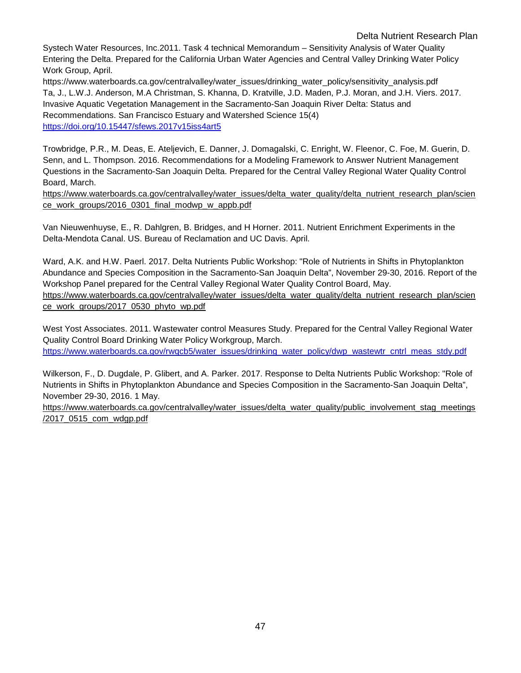Delta Nutrient Research Plan

 Systech Water Resources, Inc.2011. Task 4 technical Memorandum – Sensitivity Analysis of Water Quality Work Group, April. Entering the Delta. Prepared for the California Urban Water Agencies and Central Valley Drinking Water Policy

 Ta, J., L.W.J. Anderson, M.A Christman, S. Khanna, D. Kratville, J.D. Maden, P.J. Moran, and J.H. Viers. 2017. Recommendations. San Francisco Estuary and Watershed Science 15(4) https://doi.org/10.15447/sfews.2017v15iss4art5 [https://www.waterboards.ca.gov/centralvalley/water\\_issues/drinking\\_water\\_policy/sensitivity\\_analysis.pdf](https://www.waterboards.ca.gov/centralvalley/water_issues/drinking_water_policy/sensitivity_analysis.pdf)  Invasive Aquatic Vegetation Management in the Sacramento-San Joaquin River Delta: Status and

<u>https://doi.org/10.15447/sfews.2017v15iss4art5</u><br>Trowbridge, P.R., M. Deas, E. Ateljevich, E. Danner, J. Domagalski, C. Enright, W. Fleenor, C. Foe, M. Guerin, D. Questions in the Sacramento-San Joaquin Delta. Prepared for the Central Valley Regional Water Quality Control Senn, and L. Thompson. 2016. Recommendations for a Modeling Framework to Answer Nutrient Management Board, March.

ce\_work\_groups/2016\_0301\_final\_modwp\_w\_appb.pdf https://www.waterboards.ca.gov/centralvalley/water\_issues/delta\_water\_quality/delta\_nutrient\_research\_plan/scien

 Delta-Mendota Canal. US. Bureau of Reclamation and UC Davis. April. Van Nieuwenhuyse, E., R. Dahlgren, B. Bridges, and H Horner. 2011. Nutrient Enrichment Experiments in the

 Ward, A.K. and H.W. Paerl. 2017. Delta Nutrients Public Workshop: "Role of Nutrients in Shifts in Phytoplankton Workshop Panel prepared for the Central Valley Regional Water Quality Control Board, May. ce work groups/2017 0530 phyto wp.pdf Abundance and Species Composition in the Sacramento-San Joaquin Delta", November 29-30, 2016. Report of the [https://www.waterboards.ca.gov/centralvalley/water\\_issues/delta\\_water\\_quality/delta\\_nutrient\\_research\\_plan/scien](https://www.waterboards.ca.gov/centralvalley/water_issues/delta_water_quality/delta_nutrient_research_plan/science_work_groups/2017_0530_phyto_wp.pdf) 

<u>ce\_work\_groups/2017\_0530\_phyto\_wp.pdf</u><br>West Yost Associates. 2011. Wastewater control Measures Study. Prepared for the Central Valley Regional Water Quality Control Board Drinking Water Policy Workgroup, March. https://www.waterboards.ca.gov/rwqcb5/water\_issues/drinking\_water\_policy/dwp\_wastewtr\_cntrl\_meas\_stdy.pdf

<u>https://www.waterboards.ca.gov/rwqcb5/water\_issues/drinking\_water\_policy/dwp\_wastewtr\_cntrl\_meas\_stdy.pdf</u><br>Wilkerson, F., D. Dugdale, P. Glibert, and A. Parker. 2017. Response to Delta Nutrients Public Workshop: "Role of Nutrients in Shifts in Phytoplankton Abundance and Species Composition in the Sacramento-San Joaquin Delta", November 29-30, 2016. 1 May.

/2017\_0515\_com\_wdgp.pdf https://www.waterboards.ca.gov/centralvalley/water\_issues/delta\_water\_quality/public\_involvement\_stag\_meetings [/2017\\_0515\\_com\\_wdgp.pdf](https://www.waterboards.ca.gov/centralvalley/water_issues/delta_water_quality/public_involvement_stag_meetings/2017_0515_com_wdgp.pdf) 47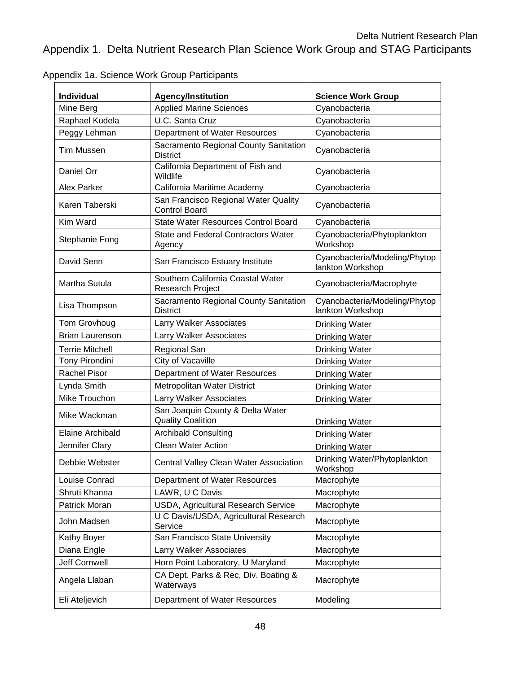# <span id="page-51-0"></span>Appendix 1. Delta Nutrient Research Plan Science Work Group and STAG Participants

| Individual             | <b>Agency/Institution</b>                                    | <b>Science Work Group</b>                         |  |
|------------------------|--------------------------------------------------------------|---------------------------------------------------|--|
| Mine Berg              | <b>Applied Marine Sciences</b>                               | Cyanobacteria                                     |  |
| Raphael Kudela         | U.C. Santa Cruz                                              | Cyanobacteria                                     |  |
| Peggy Lehman           | Department of Water Resources                                | Cyanobacteria                                     |  |
| <b>Tim Mussen</b>      | Sacramento Regional County Sanitation<br><b>District</b>     | Cyanobacteria                                     |  |
| Daniel Orr             | California Department of Fish and<br>Wildlife                | Cyanobacteria                                     |  |
| Alex Parker            | California Maritime Academy                                  | Cyanobacteria                                     |  |
| Karen Taberski         | San Francisco Regional Water Quality<br><b>Control Board</b> | Cyanobacteria                                     |  |
| Kim Ward               | <b>State Water Resources Control Board</b>                   | Cyanobacteria                                     |  |
| Stephanie Fong         | <b>State and Federal Contractors Water</b><br>Agency         | Cyanobacteria/Phytoplankton<br>Workshop           |  |
| David Senn             | San Francisco Estuary Institute                              | Cyanobacteria/Modeling/Phytop<br>lankton Workshop |  |
| Martha Sutula          | Southern California Coastal Water<br>Research Project        | Cyanobacteria/Macrophyte                          |  |
| Lisa Thompson          | Sacramento Regional County Sanitation<br><b>District</b>     | Cyanobacteria/Modeling/Phytop<br>lankton Workshop |  |
| Tom Grovhoug           | <b>Larry Walker Associates</b>                               | <b>Drinking Water</b>                             |  |
| <b>Brian Laurenson</b> | Larry Walker Associates                                      | <b>Drinking Water</b>                             |  |
| <b>Terrie Mitchell</b> | <b>Regional San</b>                                          | <b>Drinking Water</b>                             |  |
| Tony Pirondini         | City of Vacaville                                            | <b>Drinking Water</b>                             |  |
| <b>Rachel Pisor</b>    | Department of Water Resources                                | <b>Drinking Water</b>                             |  |
| Lynda Smith            | Metropolitan Water District                                  | <b>Drinking Water</b>                             |  |
| Mike Trouchon          | <b>Larry Walker Associates</b>                               | <b>Drinking Water</b>                             |  |
| Mike Wackman           | San Joaquin County & Delta Water<br><b>Quality Coalition</b> | <b>Drinking Water</b>                             |  |
| Elaine Archibald       | <b>Archibald Consulting</b>                                  | <b>Drinking Water</b>                             |  |
| Jennifer Clary         | <b>Clean Water Action</b>                                    | <b>Drinking Water</b>                             |  |
| Debbie Webster         | Central Valley Clean Water Association                       | Drinking Water/Phytoplankton<br>Workshop          |  |
| Louise Conrad          | Department of Water Resources                                | Macrophyte                                        |  |
| Shruti Khanna          | LAWR, U C Davis                                              | Macrophyte                                        |  |
| Patrick Moran          | USDA, Agricultural Research Service                          | Macrophyte                                        |  |
| John Madsen            | U C Davis/USDA, Agricultural Research<br>Service             | Macrophyte                                        |  |
| Kathy Boyer            | San Francisco State University                               | Macrophyte                                        |  |
| Diana Engle            | Larry Walker Associates                                      | Macrophyte                                        |  |
| Jeff Cornwell          | Horn Point Laboratory, U Maryland                            | Macrophyte                                        |  |
| Angela Llaban          | CA Dept. Parks & Rec, Div. Boating &<br>Waterways            | Macrophyte                                        |  |
| Eli Ateljevich         | Department of Water Resources                                | Modeling                                          |  |

| Appendix 1a. Science Work Group Participants |  |  |
|----------------------------------------------|--|--|
|                                              |  |  |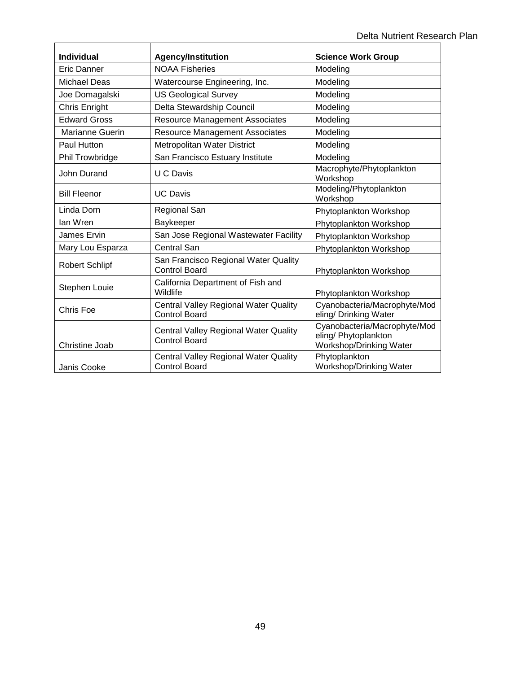| <b>Individual</b>     | <b>Agency/Institution</b>                                            | <b>Science Work Group</b>                                                       |  |
|-----------------------|----------------------------------------------------------------------|---------------------------------------------------------------------------------|--|
| <b>Eric Danner</b>    | <b>NOAA Fisheries</b>                                                | Modeling                                                                        |  |
| <b>Michael Deas</b>   | Watercourse Engineering, Inc.                                        | Modeling                                                                        |  |
| Joe Domagalski        | <b>US Geological Survey</b>                                          | Modeling                                                                        |  |
| Chris Enright         | Delta Stewardship Council                                            | Modeling                                                                        |  |
| <b>Edward Gross</b>   | <b>Resource Management Associates</b>                                | Modeling                                                                        |  |
| Marianne Guerin       | <b>Resource Management Associates</b>                                | Modeling                                                                        |  |
| Paul Hutton           | Metropolitan Water District                                          | Modeling                                                                        |  |
| Phil Trowbridge       | San Francisco Estuary Institute                                      | Modeling                                                                        |  |
| John Durand           | U C Davis                                                            | Macrophyte/Phytoplankton<br>Workshop                                            |  |
| <b>Bill Fleenor</b>   | <b>UC Davis</b>                                                      | Modeling/Phytoplankton<br>Workshop                                              |  |
| Linda Dorn            | <b>Regional San</b>                                                  | Phytoplankton Workshop                                                          |  |
| lan Wren              | Baykeeper                                                            | Phytoplankton Workshop                                                          |  |
| James Ervin           | San Jose Regional Wastewater Facility                                | Phytoplankton Workshop                                                          |  |
| Mary Lou Esparza      | <b>Central San</b>                                                   | Phytoplankton Workshop                                                          |  |
| <b>Robert Schlipf</b> | San Francisco Regional Water Quality<br><b>Control Board</b>         | Phytoplankton Workshop                                                          |  |
| Stephen Louie         | California Department of Fish and<br>Wildlife                        | Phytoplankton Workshop                                                          |  |
| Chris Foe             | <b>Central Valley Regional Water Quality</b><br><b>Control Board</b> | Cyanobacteria/Macrophyte/Mod<br>eling/ Drinking Water                           |  |
| Christine Joab        | Central Valley Regional Water Quality<br><b>Control Board</b>        | Cyanobacteria/Macrophyte/Mod<br>eling/ Phytoplankton<br>Workshop/Drinking Water |  |
| Janis Cooke           | <b>Central Valley Regional Water Quality</b><br><b>Control Board</b> | Phytoplankton<br>Workshop/Drinking Water                                        |  |